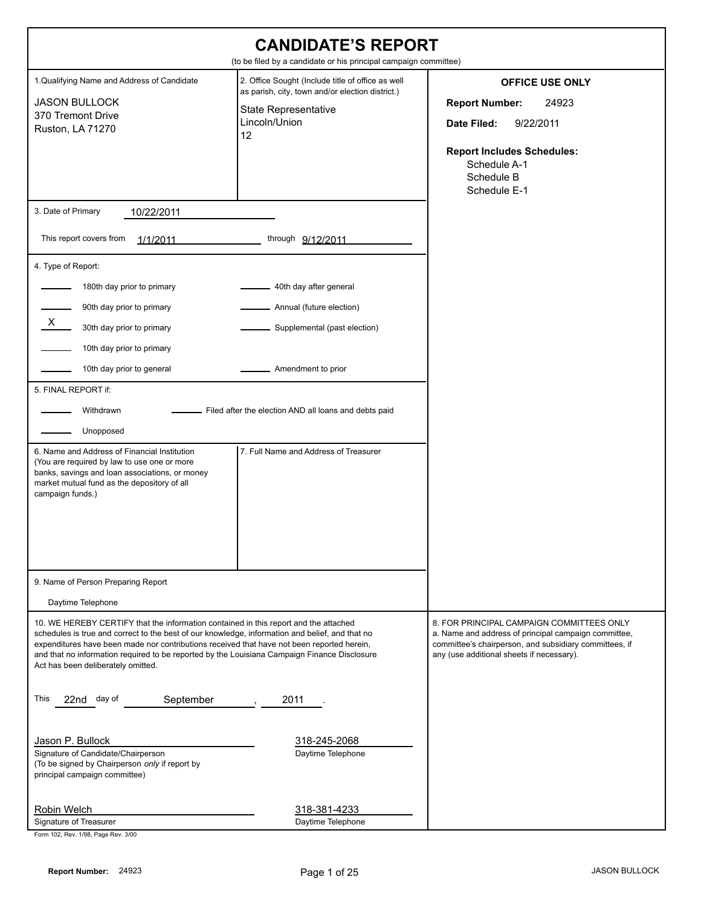| <b>CANDIDATE'S REPORT</b><br>(to be filed by a candidate or his principal campaign committee)                                                                                                                                                                                                                                                                                                                                                    |                                                                                                                                                                                                              |                                                                                                                                                                                                          |  |
|--------------------------------------------------------------------------------------------------------------------------------------------------------------------------------------------------------------------------------------------------------------------------------------------------------------------------------------------------------------------------------------------------------------------------------------------------|--------------------------------------------------------------------------------------------------------------------------------------------------------------------------------------------------------------|----------------------------------------------------------------------------------------------------------------------------------------------------------------------------------------------------------|--|
| 1. Qualifying Name and Address of Candidate<br><b>JASON BULLOCK</b><br>370 Tremont Drive<br>Ruston, LA 71270                                                                                                                                                                                                                                                                                                                                     | 2. Office Sought (Include title of office as well<br>as parish, city, town and/or election district.)<br><b>State Representative</b><br>Lincoln/Union<br>12                                                  | <b>OFFICE USE ONLY</b><br><b>Report Number:</b><br>24923<br>9/22/2011<br>Date Filed:<br><b>Report Includes Schedules:</b><br>Schedule A-1<br>Schedule B<br>Schedule E-1                                  |  |
| 3. Date of Primary<br>10/22/2011                                                                                                                                                                                                                                                                                                                                                                                                                 |                                                                                                                                                                                                              |                                                                                                                                                                                                          |  |
| This report covers from<br>1/1/2011                                                                                                                                                                                                                                                                                                                                                                                                              | through 9/12/2011                                                                                                                                                                                            |                                                                                                                                                                                                          |  |
| 4. Type of Report:<br>180th day prior to primary<br>90th day prior to primary<br>X —<br>30th day prior to primary<br>10th day prior to primary<br>10th day prior to general<br>5. FINAL REPORT if:<br>Withdrawn<br>Unopposed<br>6. Name and Address of Financial Institution<br>(You are required by law to use one or more<br>banks, savings and loan associations, or money<br>market mutual fund as the depository of all<br>campaign funds.) | 40th day after general<br>Annual (future election)<br>Supplemental (past election)<br>Amendment to prior<br>- Filed after the election AND all loans and debts paid<br>7. Full Name and Address of Treasurer |                                                                                                                                                                                                          |  |
| 9. Name of Person Preparing Report<br>Daytime Telephone                                                                                                                                                                                                                                                                                                                                                                                          |                                                                                                                                                                                                              |                                                                                                                                                                                                          |  |
| 10. WE HEREBY CERTIFY that the information contained in this report and the attached<br>schedules is true and correct to the best of our knowledge, information and belief, and that no<br>expenditures have been made nor contributions received that have not been reported herein,<br>and that no information required to be reported by the Louisiana Campaign Finance Disclosure<br>Act has been deliberately omitted.                      |                                                                                                                                                                                                              | 8. FOR PRINCIPAL CAMPAIGN COMMITTEES ONLY<br>a. Name and address of principal campaign committee,<br>committee's chairperson, and subsidiary committees, if<br>any (use additional sheets if necessary). |  |
| This<br>22nd day of<br>September<br>Jason P. Bullock<br>Signature of Candidate/Chairperson<br>(To be signed by Chairperson only if report by<br>principal campaign committee)<br>Robin Welch                                                                                                                                                                                                                                                     | 2011<br>318-245-2068<br>Daytime Telephone<br>318-381-4233                                                                                                                                                    |                                                                                                                                                                                                          |  |
| Signature of Treasurer                                                                                                                                                                                                                                                                                                                                                                                                                           | Daytime Telephone                                                                                                                                                                                            |                                                                                                                                                                                                          |  |

Form 102, Rev. 1/98, Page Rev. 3/00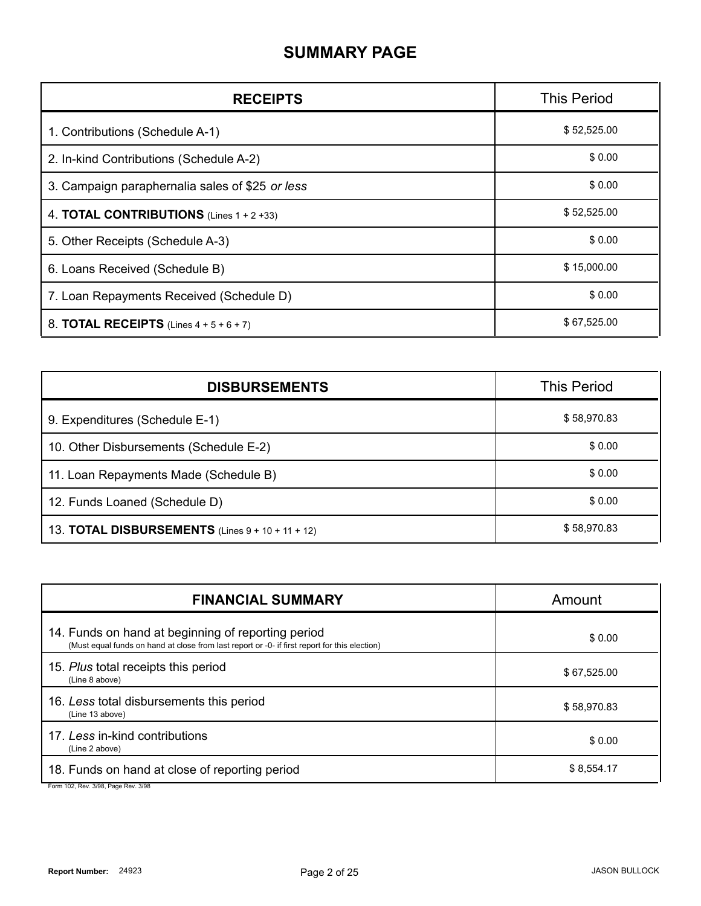#### **SUMMARY PAGE**

| <b>RECEIPTS</b>                                     | <b>This Period</b> |
|-----------------------------------------------------|--------------------|
| 1. Contributions (Schedule A-1)                     | \$52,525.00        |
| 2. In-kind Contributions (Schedule A-2)             | \$0.00             |
| 3. Campaign paraphernalia sales of \$25 or less     | \$0.00             |
| 4. <b>TOTAL CONTRIBUTIONS</b> (Lines $1 + 2 + 33$ ) | \$52,525.00        |
| 5. Other Receipts (Schedule A-3)                    | \$0.00             |
| 6. Loans Received (Schedule B)                      | \$15,000.00        |
| 7. Loan Repayments Received (Schedule D)            | \$0.00             |
| 8. <b>TOTAL RECEIPTS</b> (Lines $4 + 5 + 6 + 7$ )   | \$67,525.00        |

| <b>DISBURSEMENTS</b>                                    | <b>This Period</b> |
|---------------------------------------------------------|--------------------|
| 9. Expenditures (Schedule E-1)                          | \$58,970.83        |
| 10. Other Disbursements (Schedule E-2)                  | \$0.00             |
| 11. Loan Repayments Made (Schedule B)                   | \$0.00             |
| 12. Funds Loaned (Schedule D)                           | \$0.00             |
| 13. <b>TOTAL DISBURSEMENTS</b> (Lines 9 + 10 + 11 + 12) | \$58,970.83        |

| <b>FINANCIAL SUMMARY</b>                                                                                                                            | Amount      |
|-----------------------------------------------------------------------------------------------------------------------------------------------------|-------------|
| 14. Funds on hand at beginning of reporting period<br>(Must equal funds on hand at close from last report or -0- if first report for this election) | \$0.00      |
| 15. Plus total receipts this period<br>(Line 8 above)                                                                                               | \$67,525.00 |
| 16. Less total disbursements this period<br>(Line 13 above)                                                                                         | \$58,970.83 |
| 17. Less in-kind contributions<br>(Line 2 above)                                                                                                    | \$0.00      |
| 18. Funds on hand at close of reporting period                                                                                                      | \$8,554.17  |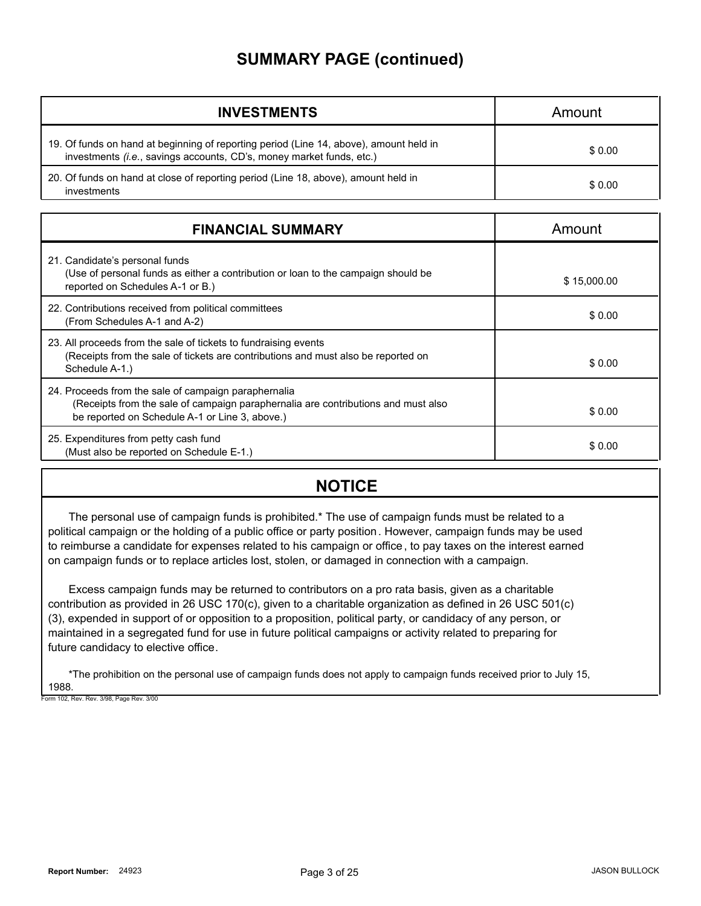#### **SUMMARY PAGE (continued)**

| <b>INVESTMENTS</b>                                                                                                                                             | Amount |
|----------------------------------------------------------------------------------------------------------------------------------------------------------------|--------|
| 19. Of funds on hand at beginning of reporting period (Line 14, above), amount held in<br>investments (i.e., savings accounts, CD's, money market funds, etc.) | \$0.00 |
| 20. Of funds on hand at close of reporting period (Line 18, above), amount held in<br>investments                                                              | \$0.00 |

| <b>FINANCIAL SUMMARY</b>                                                                                                                                                                    | Amount      |
|---------------------------------------------------------------------------------------------------------------------------------------------------------------------------------------------|-------------|
| 21. Candidate's personal funds<br>(Use of personal funds as either a contribution or loan to the campaign should be<br>reported on Schedules A-1 or B.)                                     | \$15,000.00 |
| 22. Contributions received from political committees<br>(From Schedules A-1 and A-2)                                                                                                        | \$0.00      |
| 23. All proceeds from the sale of tickets to fundraising events<br>(Receipts from the sale of tickets are contributions and must also be reported on<br>Schedule A-1.)                      | \$0.00      |
| 24. Proceeds from the sale of campaign paraphernalia<br>(Receipts from the sale of campaign paraphernalia are contributions and must also<br>be reported on Schedule A-1 or Line 3, above.) | \$0.00      |
| 25. Expenditures from petty cash fund<br>(Must also be reported on Schedule E-1.)                                                                                                           | \$0.00      |

#### **NOTICE**

The personal use of campaign funds is prohibited.\* The use of campaign funds must be related to a political campaign or the holding of a public office or party position. However, campaign funds may be used to reimburse a candidate for expenses related to his campaign or office, to pay taxes on the interest earned on campaign funds or to replace articles lost, stolen, or damaged in connection with a campaign.

Excess campaign funds may be returned to contributors on a pro rata basis, given as a charitable contribution as provided in 26 USC 170(c), given to a charitable organization as defined in 26 USC 501(c) (3), expended in support of or opposition to a proposition, political party, or candidacy of any person, or maintained in a segregated fund for use in future political campaigns or activity related to preparing for future candidacy to elective office.

\*The prohibition on the personal use of campaign funds does not apply to campaign funds received prior to July 15, 1988. Form 102, Rev. Rev. 3/98, Page Rev. 3/00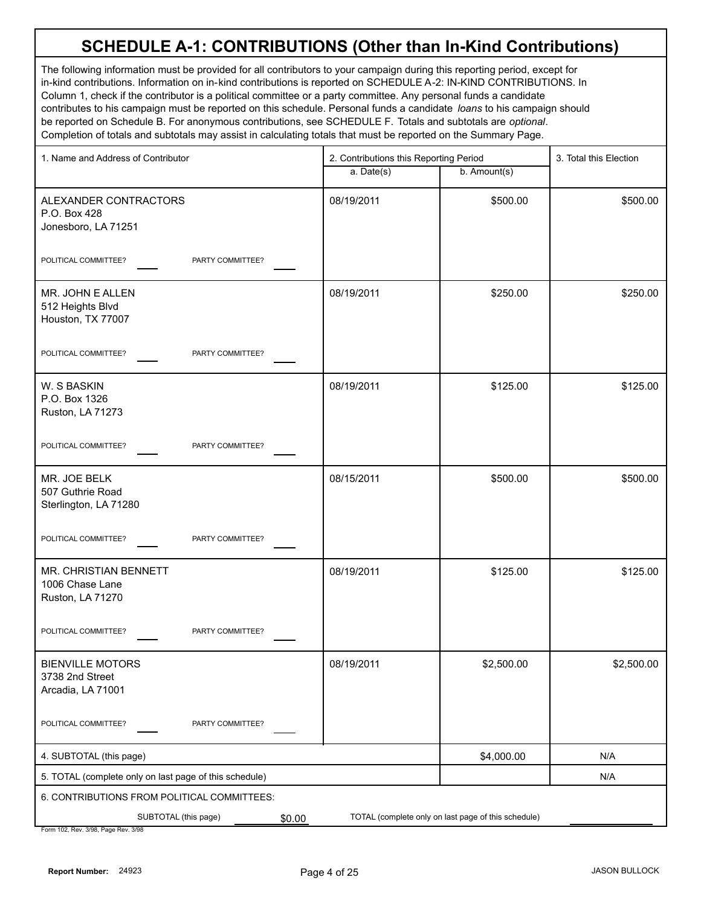The following information must be provided for all contributors to your campaign during this reporting period, except for in-kind contributions. Information on in-kind contributions is reported on SCHEDULE A-2: IN-KIND CONTRIBUTIONS. In Column 1, check if the contributor is a political committee or a party committee. Any personal funds a candidate contributes to his campaign must be reported on this schedule. Personal funds a candidate *loans* to his campaign should be reported on Schedule B. For anonymous contributions, see SCHEDULE F. Totals and subtotals are *optional*. Completion of totals and subtotals may assist in calculating totals that must be reported on the Summary Page.

| 1. Name and Address of Contributor                              |            | 2. Contributions this Reporting Period              |            |
|-----------------------------------------------------------------|------------|-----------------------------------------------------|------------|
|                                                                 | a. Date(s) | b. Amount(s)                                        |            |
| ALEXANDER CONTRACTORS<br>P.O. Box 428<br>Jonesboro, LA 71251    | 08/19/2011 | \$500.00                                            | \$500.00   |
| PARTY COMMITTEE?<br>POLITICAL COMMITTEE?                        |            |                                                     |            |
| MR. JOHN E ALLEN<br>512 Heights Blvd<br>Houston, TX 77007       | 08/19/2011 | \$250.00                                            | \$250.00   |
| POLITICAL COMMITTEE?<br>PARTY COMMITTEE?                        |            |                                                     |            |
| W. S BASKIN<br>P.O. Box 1326<br>Ruston, LA 71273                | 08/19/2011 | \$125.00                                            | \$125.00   |
| PARTY COMMITTEE?<br>POLITICAL COMMITTEE?                        |            |                                                     |            |
| MR. JOE BELK<br>507 Guthrie Road<br>Sterlington, LA 71280       | 08/15/2011 | \$500.00                                            | \$500.00   |
| POLITICAL COMMITTEE?<br>PARTY COMMITTEE?                        |            |                                                     |            |
| MR. CHRISTIAN BENNETT<br>1006 Chase Lane<br>Ruston, LA 71270    | 08/19/2011 | \$125.00                                            | \$125.00   |
| POLITICAL COMMITTEE?<br>PARTY COMMITTEE?                        |            |                                                     |            |
| <b>BIENVILLE MOTORS</b><br>3738 2nd Street<br>Arcadia, LA 71001 | 08/19/2011 | \$2,500.00                                          | \$2,500.00 |
| POLITICAL COMMITTEE?<br>PARTY COMMITTEE?                        |            |                                                     |            |
| 4. SUBTOTAL (this page)                                         |            | \$4,000.00                                          | N/A        |
| 5. TOTAL (complete only on last page of this schedule)          |            |                                                     | N/A        |
| 6. CONTRIBUTIONS FROM POLITICAL COMMITTEES:                     |            |                                                     |            |
| SUBTOTAL (this page)<br>\$0.00                                  |            | TOTAL (complete only on last page of this schedule) |            |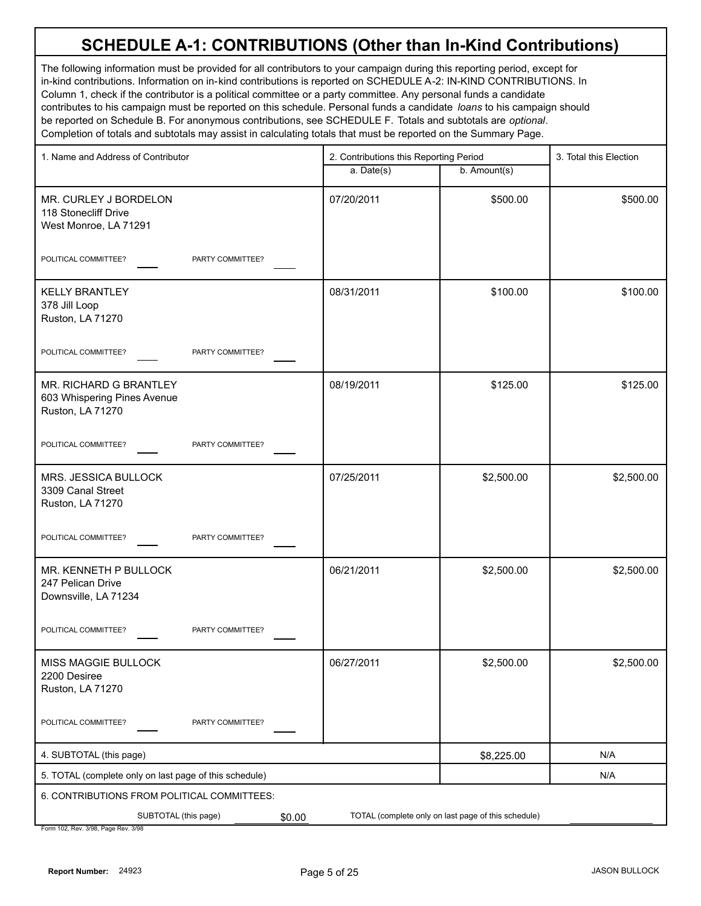The following information must be provided for all contributors to your campaign during this reporting period, except for in-kind contributions. Information on in-kind contributions is reported on SCHEDULE A-2: IN-KIND CONTRIBUTIONS. In Column 1, check if the contributor is a political committee or a party committee. Any personal funds a candidate contributes to his campaign must be reported on this schedule. Personal funds a candidate *loans* to his campaign should be reported on Schedule B. For anonymous contributions, see SCHEDULE F. Totals and subtotals are *optional*. Completion of totals and subtotals may assist in calculating totals that must be reported on the Summary Page.

| 1. Name and Address of Contributor                                        | 2. Contributions this Reporting Period |                                                     | 3. Total this Election |
|---------------------------------------------------------------------------|----------------------------------------|-----------------------------------------------------|------------------------|
|                                                                           | a. Date(s)                             | b. Amount(s)                                        |                        |
| MR. CURLEY J BORDELON<br>118 Stonecliff Drive<br>West Monroe, LA 71291    | 07/20/2011                             | \$500.00                                            | \$500.00               |
| POLITICAL COMMITTEE?<br>PARTY COMMITTEE?                                  |                                        |                                                     |                        |
| <b>KELLY BRANTLEY</b><br>378 Jill Loop<br>Ruston, LA 71270                | 08/31/2011                             | \$100.00                                            | \$100.00               |
| POLITICAL COMMITTEE?<br>PARTY COMMITTEE?                                  |                                        |                                                     |                        |
| MR. RICHARD G BRANTLEY<br>603 Whispering Pines Avenue<br>Ruston, LA 71270 | 08/19/2011                             | \$125.00                                            | \$125.00               |
| POLITICAL COMMITTEE?<br>PARTY COMMITTEE?                                  |                                        |                                                     |                        |
| MRS. JESSICA BULLOCK<br>3309 Canal Street<br>Ruston, LA 71270             | 07/25/2011                             | \$2,500.00                                          | \$2,500.00             |
| POLITICAL COMMITTEE?<br>PARTY COMMITTEE?                                  |                                        |                                                     |                        |
| MR. KENNETH P BULLOCK<br>247 Pelican Drive<br>Downsville, LA 71234        | 06/21/2011                             | \$2,500.00                                          | \$2,500.00             |
| POLITICAL COMMITTEE?<br>PARTY COMMITTEE?                                  |                                        |                                                     |                        |
| <b>MISS MAGGIE BULLOCK</b><br>2200 Desiree<br>Ruston, LA 71270            | 06/27/2011                             | \$2,500.00                                          | \$2,500.00             |
| POLITICAL COMMITTEE?<br>PARTY COMMITTEE?                                  |                                        |                                                     |                        |
| 4. SUBTOTAL (this page)                                                   |                                        | \$8,225.00                                          | N/A                    |
| 5. TOTAL (complete only on last page of this schedule)                    |                                        |                                                     | N/A                    |
| 6. CONTRIBUTIONS FROM POLITICAL COMMITTEES:                               |                                        |                                                     |                        |
| SUBTOTAL (this page)<br>\$0.00                                            |                                        | TOTAL (complete only on last page of this schedule) |                        |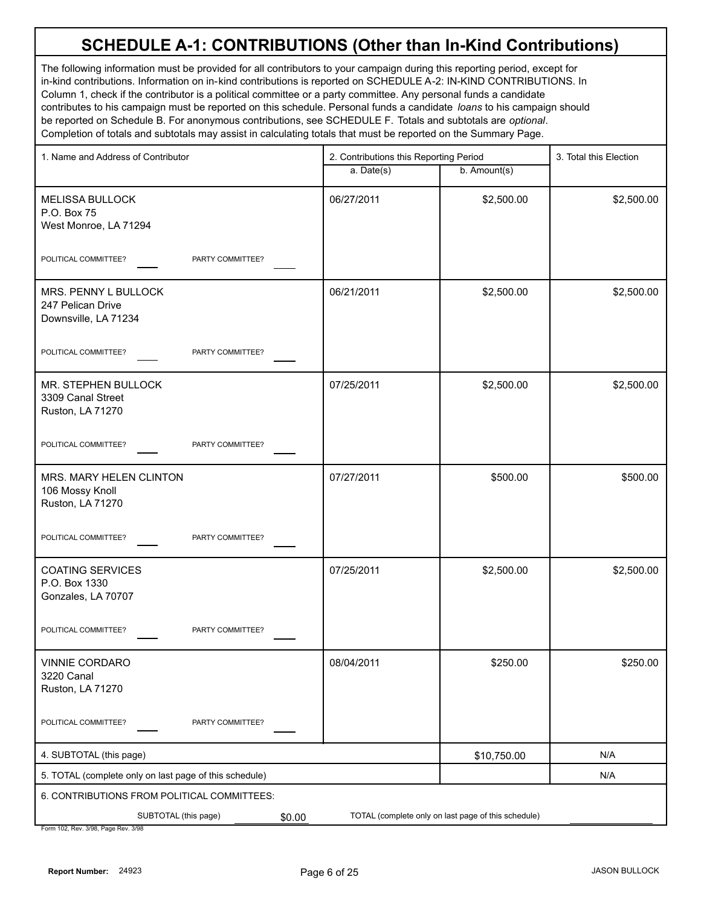The following information must be provided for all contributors to your campaign during this reporting period, except for in-kind contributions. Information on in-kind contributions is reported on SCHEDULE A-2: IN-KIND CONTRIBUTIONS. In Column 1, check if the contributor is a political committee or a party committee. Any personal funds a candidate contributes to his campaign must be reported on this schedule. Personal funds a candidate *loans* to his campaign should be reported on Schedule B. For anonymous contributions, see SCHEDULE F. Totals and subtotals are *optional*. Completion of totals and subtotals may assist in calculating totals that must be reported on the Summary Page.

| 1. Name and Address of Contributor                                | 2. Contributions this Reporting Period |                                                     | 3. Total this Election |
|-------------------------------------------------------------------|----------------------------------------|-----------------------------------------------------|------------------------|
|                                                                   | a. Date(s)                             | b. Amount(s)                                        |                        |
| <b>MELISSA BULLOCK</b><br>P.O. Box 75<br>West Monroe, LA 71294    | 06/27/2011                             | \$2,500.00                                          | \$2,500.00             |
| POLITICAL COMMITTEE?<br>PARTY COMMITTEE?                          |                                        |                                                     |                        |
| MRS. PENNY L BULLOCK<br>247 Pelican Drive<br>Downsville, LA 71234 | 06/21/2011                             | \$2,500.00                                          | \$2,500.00             |
| POLITICAL COMMITTEE?<br>PARTY COMMITTEE?                          |                                        |                                                     |                        |
| MR. STEPHEN BULLOCK<br>3309 Canal Street<br>Ruston, LA 71270      | 07/25/2011                             | \$2,500.00                                          | \$2,500.00             |
| POLITICAL COMMITTEE?<br>PARTY COMMITTEE?                          |                                        |                                                     |                        |
| MRS. MARY HELEN CLINTON<br>106 Mossy Knoll<br>Ruston, LA 71270    | 07/27/2011                             | \$500.00                                            | \$500.00               |
| POLITICAL COMMITTEE?<br>PARTY COMMITTEE?                          |                                        |                                                     |                        |
| <b>COATING SERVICES</b><br>P.O. Box 1330<br>Gonzales, LA 70707    | 07/25/2011                             | \$2,500.00                                          | \$2,500.00             |
| POLITICAL COMMITTEE?<br>PARTY COMMITTEE?                          |                                        |                                                     |                        |
| VINNIE CORDARO<br>3220 Canal<br>Ruston, LA 71270                  | 08/04/2011                             | \$250.00                                            | \$250.00               |
| POLITICAL COMMITTEE?<br>PARTY COMMITTEE?                          |                                        |                                                     |                        |
| 4. SUBTOTAL (this page)                                           |                                        | \$10,750.00                                         | N/A                    |
| 5. TOTAL (complete only on last page of this schedule)            |                                        |                                                     | N/A                    |
| 6. CONTRIBUTIONS FROM POLITICAL COMMITTEES:                       |                                        |                                                     |                        |
| SUBTOTAL (this page)<br>\$0.00                                    |                                        | TOTAL (complete only on last page of this schedule) |                        |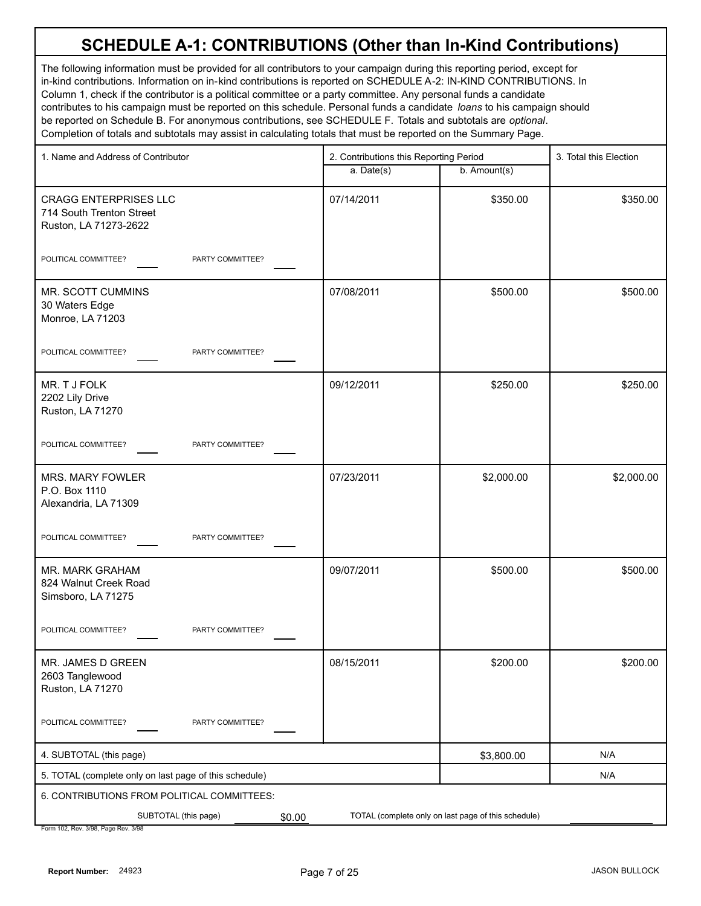The following information must be provided for all contributors to your campaign during this reporting period, except for in-kind contributions. Information on in-kind contributions is reported on SCHEDULE A-2: IN-KIND CONTRIBUTIONS. In Column 1, check if the contributor is a political committee or a party committee. Any personal funds a candidate contributes to his campaign must be reported on this schedule. Personal funds a candidate *loans* to his campaign should be reported on Schedule B. For anonymous contributions, see SCHEDULE F. Totals and subtotals are *optional*. Completion of totals and subtotals may assist in calculating totals that must be reported on the Summary Page.

| 1. Name and Address of Contributor                                                | 2. Contributions this Reporting Period |                                                     | 3. Total this Election |
|-----------------------------------------------------------------------------------|----------------------------------------|-----------------------------------------------------|------------------------|
|                                                                                   | a. Date(s)                             | b. Amount(s)                                        |                        |
| <b>CRAGG ENTERPRISES LLC</b><br>714 South Trenton Street<br>Ruston, LA 71273-2622 | 07/14/2011                             | \$350.00                                            | \$350.00               |
| POLITICAL COMMITTEE?<br>PARTY COMMITTEE?                                          |                                        |                                                     |                        |
| MR. SCOTT CUMMINS<br>30 Waters Edge<br>Monroe, LA 71203                           | 07/08/2011                             | \$500.00                                            | \$500.00               |
| POLITICAL COMMITTEE?<br>PARTY COMMITTEE?                                          |                                        |                                                     |                        |
| MR. T J FOLK<br>2202 Lily Drive<br>Ruston, LA 71270                               | 09/12/2011                             | \$250.00                                            | \$250.00               |
| POLITICAL COMMITTEE?<br>PARTY COMMITTEE?                                          |                                        |                                                     |                        |
| <b>MRS. MARY FOWLER</b><br>P.O. Box 1110<br>Alexandria, LA 71309                  | 07/23/2011                             | \$2,000.00                                          | \$2,000.00             |
| POLITICAL COMMITTEE?<br>PARTY COMMITTEE?                                          |                                        |                                                     |                        |
| MR. MARK GRAHAM<br>824 Walnut Creek Road<br>Simsboro, LA 71275                    | 09/07/2011                             | \$500.00                                            | \$500.00               |
| POLITICAL COMMITTEE?<br>PARTY COMMITTEE?                                          |                                        |                                                     |                        |
| MR. JAMES D GREEN<br>2603 Tanglewood<br>Ruston, LA 71270                          | 08/15/2011                             | \$200.00                                            | \$200.00               |
| POLITICAL COMMITTEE?<br>PARTY COMMITTEE?                                          |                                        |                                                     |                        |
| 4. SUBTOTAL (this page)                                                           |                                        | \$3,800.00                                          | N/A                    |
| 5. TOTAL (complete only on last page of this schedule)                            |                                        |                                                     | N/A                    |
| 6. CONTRIBUTIONS FROM POLITICAL COMMITTEES:                                       |                                        |                                                     |                        |
| SUBTOTAL (this page)<br>\$0.00                                                    |                                        | TOTAL (complete only on last page of this schedule) |                        |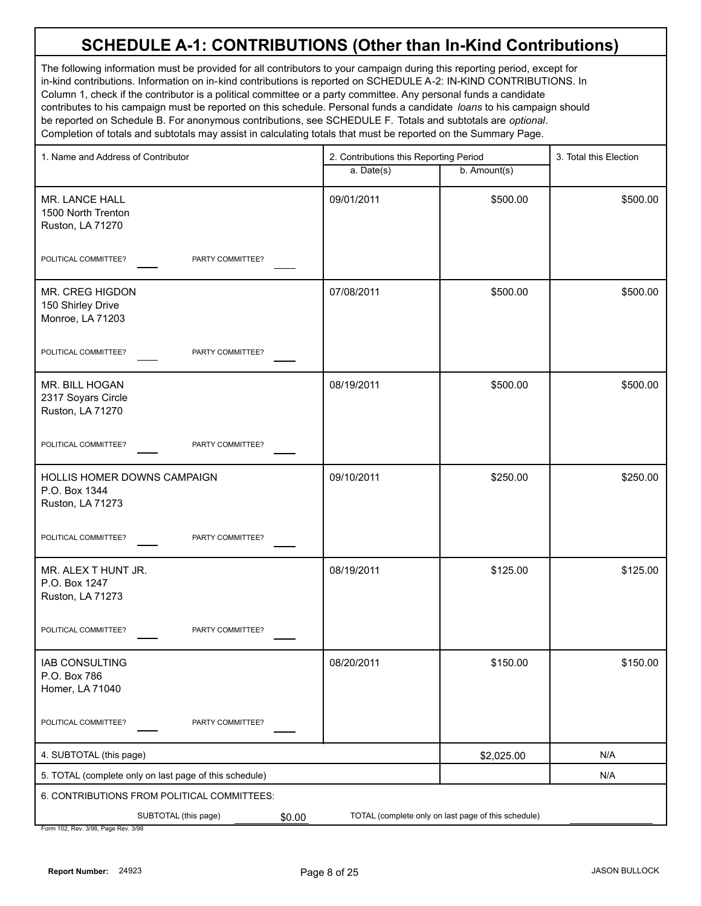The following information must be provided for all contributors to your campaign during this reporting period, except for in-kind contributions. Information on in-kind contributions is reported on SCHEDULE A-2: IN-KIND CONTRIBUTIONS. In Column 1, check if the contributor is a political committee or a party committee. Any personal funds a candidate contributes to his campaign must be reported on this schedule. Personal funds a candidate *loans* to his campaign should be reported on Schedule B. For anonymous contributions, see SCHEDULE F. Totals and subtotals are *optional*. Completion of totals and subtotals may assist in calculating totals that must be reported on the Summary Page.

| 1. Name and Address of Contributor                               | 2. Contributions this Reporting Period |                                                     | 3. Total this Election |
|------------------------------------------------------------------|----------------------------------------|-----------------------------------------------------|------------------------|
|                                                                  | a. Date(s)                             | b. Amount(s)                                        |                        |
| MR. LANCE HALL<br>1500 North Trenton<br>Ruston, LA 71270         | 09/01/2011                             | \$500.00                                            | \$500.00               |
| POLITICAL COMMITTEE?<br>PARTY COMMITTEE?                         |                                        |                                                     |                        |
| MR. CREG HIGDON<br>150 Shirley Drive<br>Monroe, LA 71203         | 07/08/2011                             | \$500.00                                            | \$500.00               |
| POLITICAL COMMITTEE?<br>PARTY COMMITTEE?                         |                                        |                                                     |                        |
| MR. BILL HOGAN<br>2317 Soyars Circle<br>Ruston, LA 71270         | 08/19/2011                             | \$500.00                                            | \$500.00               |
| POLITICAL COMMITTEE?<br>PARTY COMMITTEE?                         |                                        |                                                     |                        |
| HOLLIS HOMER DOWNS CAMPAIGN<br>P.O. Box 1344<br>Ruston, LA 71273 | 09/10/2011                             | \$250.00                                            | \$250.00               |
| POLITICAL COMMITTEE?<br>PARTY COMMITTEE?                         |                                        |                                                     |                        |
| MR. ALEX T HUNT JR.<br>P.O. Box 1247<br>Ruston, LA 71273         | 08/19/2011                             | \$125.00                                            | \$125.00               |
| POLITICAL COMMITTEE?<br>PARTY COMMITTEE?                         |                                        |                                                     |                        |
| <b>IAB CONSULTING</b><br>P.O. Box 786<br>Homer, LA 71040         | 08/20/2011                             | \$150.00                                            | \$150.00               |
| POLITICAL COMMITTEE?<br>PARTY COMMITTEE?                         |                                        |                                                     |                        |
| 4. SUBTOTAL (this page)                                          |                                        | \$2,025.00                                          | N/A                    |
| 5. TOTAL (complete only on last page of this schedule)           |                                        |                                                     | N/A                    |
| 6. CONTRIBUTIONS FROM POLITICAL COMMITTEES:                      |                                        |                                                     |                        |
| SUBTOTAL (this page)<br>\$0.00                                   |                                        | TOTAL (complete only on last page of this schedule) |                        |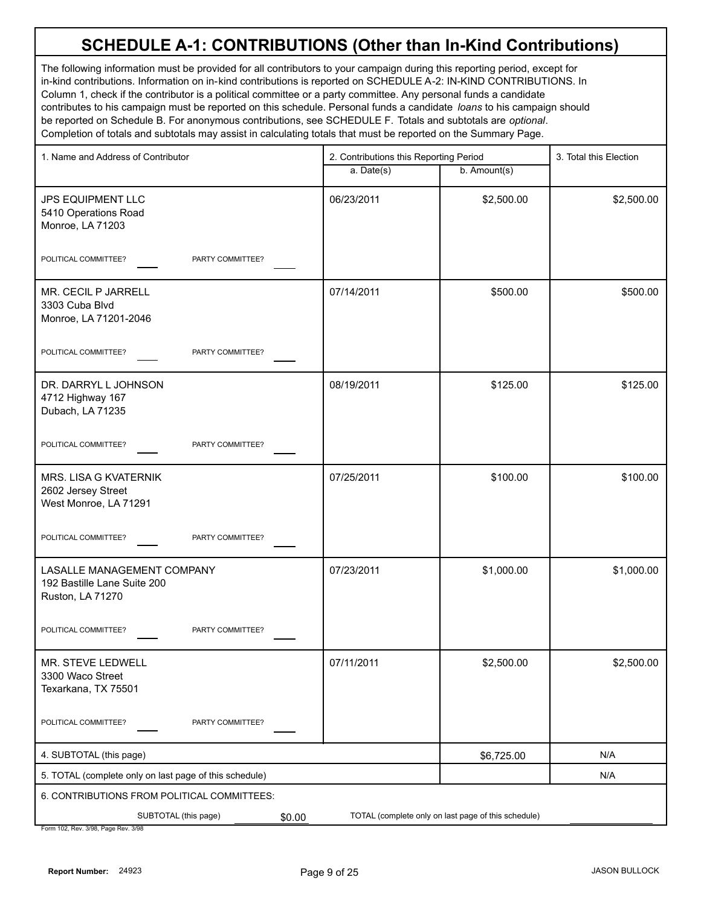The following information must be provided for all contributors to your campaign during this reporting period, except for in-kind contributions. Information on in-kind contributions is reported on SCHEDULE A-2: IN-KIND CONTRIBUTIONS. In Column 1, check if the contributor is a political committee or a party committee. Any personal funds a candidate contributes to his campaign must be reported on this schedule. Personal funds a candidate *loans* to his campaign should be reported on Schedule B. For anonymous contributions, see SCHEDULE F. Totals and subtotals are *optional*. Completion of totals and subtotals may assist in calculating totals that must be reported on the Summary Page.

| 1. Name and Address of Contributor                                            | 2. Contributions this Reporting Period |                                                     | 3. Total this Election |
|-------------------------------------------------------------------------------|----------------------------------------|-----------------------------------------------------|------------------------|
|                                                                               | a. Date(s)                             | b. Amount(s)                                        |                        |
| <b>JPS EQUIPMENT LLC</b><br>5410 Operations Road<br>Monroe, LA 71203          | 06/23/2011                             | \$2,500.00                                          | \$2,500.00             |
| POLITICAL COMMITTEE?<br>PARTY COMMITTEE?                                      |                                        |                                                     |                        |
| MR. CECIL P JARRELL<br>3303 Cuba Blvd<br>Monroe, LA 71201-2046                | 07/14/2011                             | \$500.00                                            | \$500.00               |
| POLITICAL COMMITTEE?<br>PARTY COMMITTEE?                                      |                                        |                                                     |                        |
| DR. DARRYL L JOHNSON<br>4712 Highway 167<br>Dubach, LA 71235                  | 08/19/2011                             | \$125.00                                            | \$125.00               |
| POLITICAL COMMITTEE?<br>PARTY COMMITTEE?                                      |                                        |                                                     |                        |
| MRS. LISA G KVATERNIK<br>2602 Jersey Street<br>West Monroe, LA 71291          | 07/25/2011                             | \$100.00                                            | \$100.00               |
| POLITICAL COMMITTEE?<br>PARTY COMMITTEE?                                      |                                        |                                                     |                        |
| LASALLE MANAGEMENT COMPANY<br>192 Bastille Lane Suite 200<br>Ruston, LA 71270 | 07/23/2011                             | \$1,000.00                                          | \$1,000.00             |
| POLITICAL COMMITTEE?<br>PARTY COMMITTEE?                                      |                                        |                                                     |                        |
| MR. STEVE LEDWELL<br>3300 Waco Street<br>Texarkana, TX 75501                  | 07/11/2011                             | \$2,500.00                                          | \$2,500.00             |
| POLITICAL COMMITTEE?<br>PARTY COMMITTEE?                                      |                                        |                                                     |                        |
| 4. SUBTOTAL (this page)                                                       |                                        | \$6,725.00                                          | N/A                    |
| 5. TOTAL (complete only on last page of this schedule)                        |                                        |                                                     | N/A                    |
| 6. CONTRIBUTIONS FROM POLITICAL COMMITTEES:                                   |                                        |                                                     |                        |
| SUBTOTAL (this page)<br>\$0.00                                                |                                        | TOTAL (complete only on last page of this schedule) |                        |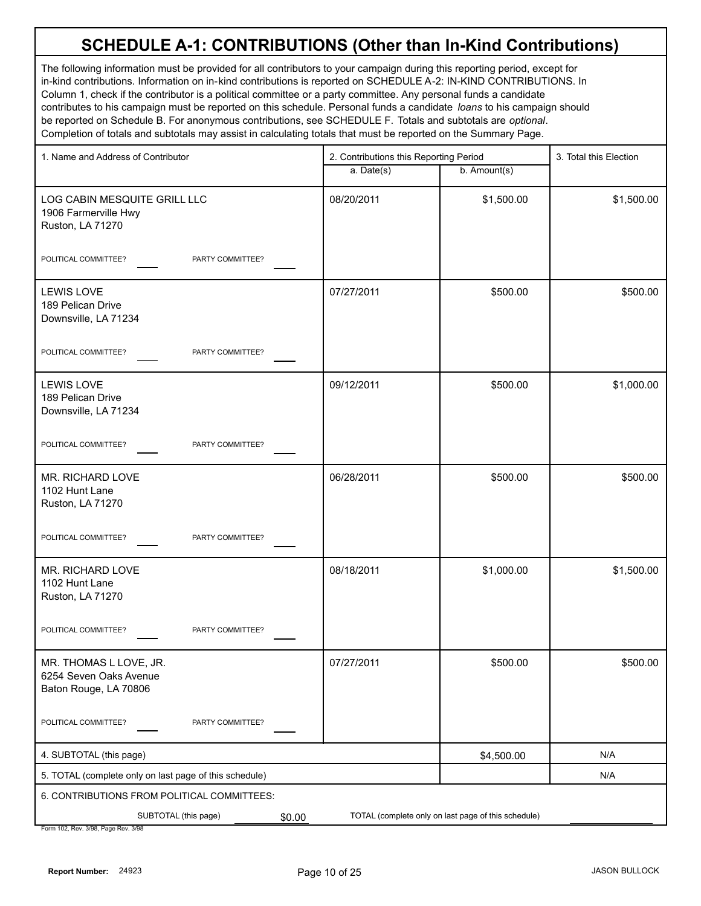The following information must be provided for all contributors to your campaign during this reporting period, except for in-kind contributions. Information on in-kind contributions is reported on SCHEDULE A-2: IN-KIND CONTRIBUTIONS. In Column 1, check if the contributor is a political committee or a party committee. Any personal funds a candidate contributes to his campaign must be reported on this schedule. Personal funds a candidate *loans* to his campaign should be reported on Schedule B. For anonymous contributions, see SCHEDULE F. Totals and subtotals are *optional*. Completion of totals and subtotals may assist in calculating totals that must be reported on the Summary Page.

| 1. Name and Address of Contributor                                        | 2. Contributions this Reporting Period |                                                     | 3. Total this Election |  |
|---------------------------------------------------------------------------|----------------------------------------|-----------------------------------------------------|------------------------|--|
|                                                                           | a. Date(s)                             | b. Amount(s)                                        |                        |  |
| LOG CABIN MESQUITE GRILL LLC<br>1906 Farmerville Hwy<br>Ruston, LA 71270  | 08/20/2011                             | \$1,500.00                                          | \$1,500.00             |  |
| POLITICAL COMMITTEE?<br>PARTY COMMITTEE?                                  |                                        |                                                     |                        |  |
| <b>LEWIS LOVE</b><br>189 Pelican Drive<br>Downsville, LA 71234            | 07/27/2011                             | \$500.00                                            | \$500.00               |  |
| POLITICAL COMMITTEE?<br>PARTY COMMITTEE?                                  |                                        |                                                     |                        |  |
| <b>LEWIS LOVE</b><br>189 Pelican Drive<br>Downsville, LA 71234            | 09/12/2011                             | \$500.00                                            | \$1,000.00             |  |
| POLITICAL COMMITTEE?<br>PARTY COMMITTEE?                                  |                                        |                                                     |                        |  |
| MR. RICHARD LOVE<br>1102 Hunt Lane<br>Ruston, LA 71270                    | 06/28/2011                             | \$500.00                                            | \$500.00               |  |
| POLITICAL COMMITTEE?<br>PARTY COMMITTEE?                                  |                                        |                                                     |                        |  |
| MR. RICHARD LOVE<br>1102 Hunt Lane<br>Ruston, LA 71270                    | 08/18/2011                             | \$1,000.00                                          | \$1,500.00             |  |
| POLITICAL COMMITTEE?<br>PARTY COMMITTEE?                                  |                                        |                                                     |                        |  |
| MR. THOMAS L LOVE, JR.<br>6254 Seven Oaks Avenue<br>Baton Rouge, LA 70806 | 07/27/2011                             | \$500.00                                            | \$500.00               |  |
| POLITICAL COMMITTEE?<br>PARTY COMMITTEE?                                  |                                        |                                                     |                        |  |
| 4. SUBTOTAL (this page)                                                   |                                        | \$4,500.00                                          | N/A                    |  |
| 5. TOTAL (complete only on last page of this schedule)                    |                                        |                                                     | N/A                    |  |
| 6. CONTRIBUTIONS FROM POLITICAL COMMITTEES:                               |                                        |                                                     |                        |  |
| SUBTOTAL (this page)<br>\$0.00                                            |                                        | TOTAL (complete only on last page of this schedule) |                        |  |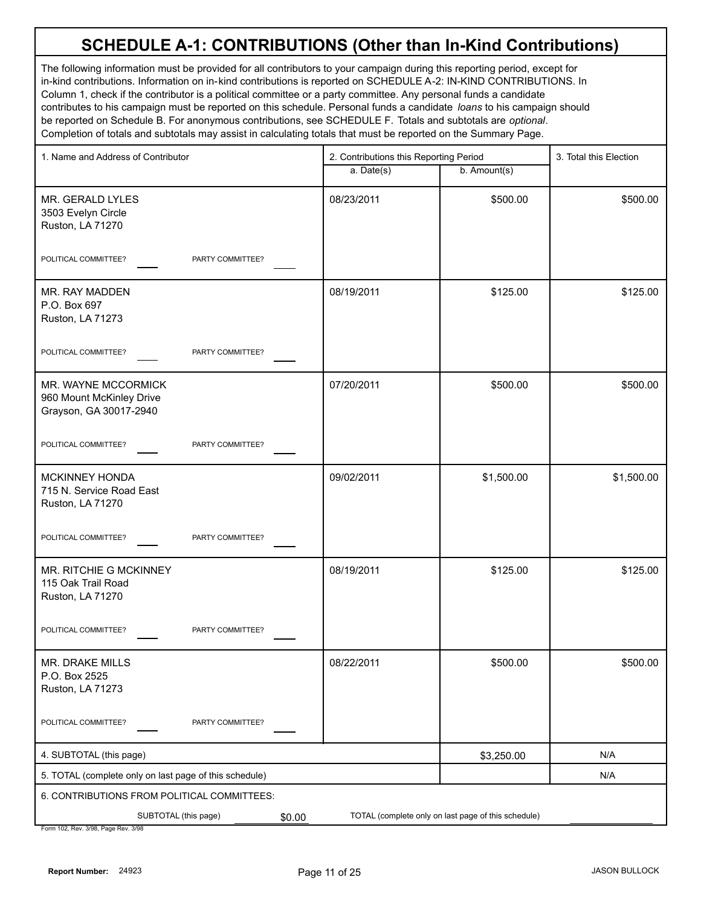The following information must be provided for all contributors to your campaign during this reporting period, except for in-kind contributions. Information on in-kind contributions is reported on SCHEDULE A-2: IN-KIND CONTRIBUTIONS. In Column 1, check if the contributor is a political committee or a party committee. Any personal funds a candidate contributes to his campaign must be reported on this schedule. Personal funds a candidate *loans* to his campaign should be reported on Schedule B. For anonymous contributions, see SCHEDULE F. Totals and subtotals are *optional*. Completion of totals and subtotals may assist in calculating totals that must be reported on the Summary Page.

| 1. Name and Address of Contributor                                        | 2. Contributions this Reporting Period |                                                     | 3. Total this Election |
|---------------------------------------------------------------------------|----------------------------------------|-----------------------------------------------------|------------------------|
|                                                                           | a. Date(s)                             | b. Amount(s)                                        |                        |
| MR. GERALD LYLES<br>3503 Evelyn Circle<br>Ruston, LA 71270                | 08/23/2011                             | \$500.00                                            | \$500.00               |
| POLITICAL COMMITTEE?<br>PARTY COMMITTEE?                                  |                                        |                                                     |                        |
| MR. RAY MADDEN<br>P.O. Box 697<br>Ruston, LA 71273                        | 08/19/2011                             | \$125.00                                            | \$125.00               |
| POLITICAL COMMITTEE?<br>PARTY COMMITTEE?                                  |                                        |                                                     |                        |
| MR. WAYNE MCCORMICK<br>960 Mount McKinley Drive<br>Grayson, GA 30017-2940 | 07/20/2011                             | \$500.00                                            | \$500.00               |
| POLITICAL COMMITTEE?<br>PARTY COMMITTEE?                                  |                                        |                                                     |                        |
| <b>MCKINNEY HONDA</b><br>715 N. Service Road East<br>Ruston, LA 71270     | 09/02/2011                             | \$1,500.00                                          | \$1,500.00             |
| POLITICAL COMMITTEE?<br>PARTY COMMITTEE?                                  |                                        |                                                     |                        |
| MR. RITCHIE G MCKINNEY<br>115 Oak Trail Road<br>Ruston, LA 71270          | 08/19/2011                             | \$125.00                                            | \$125.00               |
| POLITICAL COMMITTEE?<br>PARTY COMMITTEE?                                  |                                        |                                                     |                        |
| MR. DRAKE MILLS<br>P.O. Box 2525<br>Ruston, LA 71273                      | 08/22/2011                             | \$500.00                                            | \$500.00               |
| PARTY COMMITTEE?<br>POLITICAL COMMITTEE?                                  |                                        |                                                     |                        |
| 4. SUBTOTAL (this page)                                                   |                                        | \$3,250.00                                          | N/A                    |
| 5. TOTAL (complete only on last page of this schedule)                    |                                        |                                                     | N/A                    |
| 6. CONTRIBUTIONS FROM POLITICAL COMMITTEES:                               |                                        |                                                     |                        |
| SUBTOTAL (this page)<br>\$0.00                                            |                                        | TOTAL (complete only on last page of this schedule) |                        |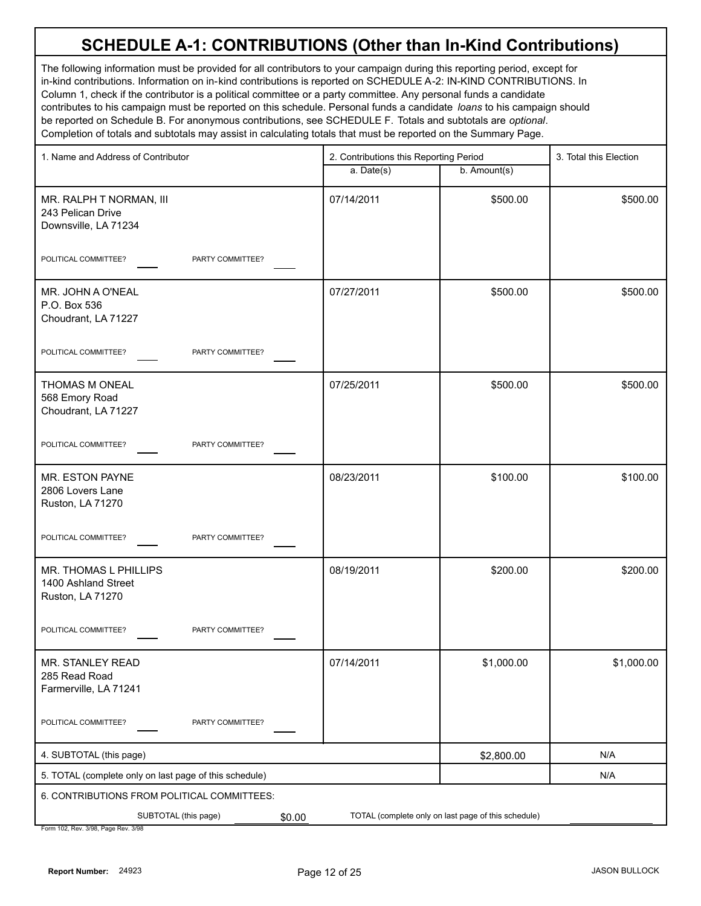The following information must be provided for all contributors to your campaign during this reporting period, except for in-kind contributions. Information on in-kind contributions is reported on SCHEDULE A-2: IN-KIND CONTRIBUTIONS. In Column 1, check if the contributor is a political committee or a party committee. Any personal funds a candidate contributes to his campaign must be reported on this schedule. Personal funds a candidate *loans* to his campaign should be reported on Schedule B. For anonymous contributions, see SCHEDULE F. Totals and subtotals are *optional*. Completion of totals and subtotals may assist in calculating totals that must be reported on the Summary Page.

| 1. Name and Address of Contributor                                   | 2. Contributions this Reporting Period |                                                     | 3. Total this Election |  |
|----------------------------------------------------------------------|----------------------------------------|-----------------------------------------------------|------------------------|--|
|                                                                      | a. Date(s)                             | b. Amount(s)                                        |                        |  |
| MR. RALPH T NORMAN, III<br>243 Pelican Drive<br>Downsville, LA 71234 | 07/14/2011                             | \$500.00                                            | \$500.00               |  |
| POLITICAL COMMITTEE?<br>PARTY COMMITTEE?                             |                                        |                                                     |                        |  |
| MR. JOHN A O'NEAL<br>P.O. Box 536<br>Choudrant, LA 71227             | 07/27/2011                             | \$500.00                                            | \$500.00               |  |
| POLITICAL COMMITTEE?<br>PARTY COMMITTEE?                             |                                        |                                                     |                        |  |
| THOMAS M ONEAL<br>568 Emory Road<br>Choudrant, LA 71227              | 07/25/2011                             | \$500.00                                            | \$500.00               |  |
| POLITICAL COMMITTEE?<br>PARTY COMMITTEE?                             |                                        |                                                     |                        |  |
| MR. ESTON PAYNE<br>2806 Lovers Lane<br>Ruston, LA 71270              | 08/23/2011                             | \$100.00                                            | \$100.00               |  |
| POLITICAL COMMITTEE?<br>PARTY COMMITTEE?                             |                                        |                                                     |                        |  |
| MR. THOMAS L PHILLIPS<br>1400 Ashland Street<br>Ruston, LA 71270     | 08/19/2011                             | \$200.00                                            | \$200.00               |  |
| POLITICAL COMMITTEE?<br>PARTY COMMITTEE?                             |                                        |                                                     |                        |  |
| MR. STANLEY READ<br>285 Read Road<br>Farmerville, LA 71241           | 07/14/2011                             | \$1,000.00                                          | \$1,000.00             |  |
| POLITICAL COMMITTEE?<br>PARTY COMMITTEE?                             |                                        |                                                     |                        |  |
| 4. SUBTOTAL (this page)                                              |                                        | \$2,800.00                                          | N/A                    |  |
| 5. TOTAL (complete only on last page of this schedule)               |                                        |                                                     | N/A                    |  |
| 6. CONTRIBUTIONS FROM POLITICAL COMMITTEES:                          |                                        |                                                     |                        |  |
| SUBTOTAL (this page)<br>\$0.00                                       |                                        | TOTAL (complete only on last page of this schedule) |                        |  |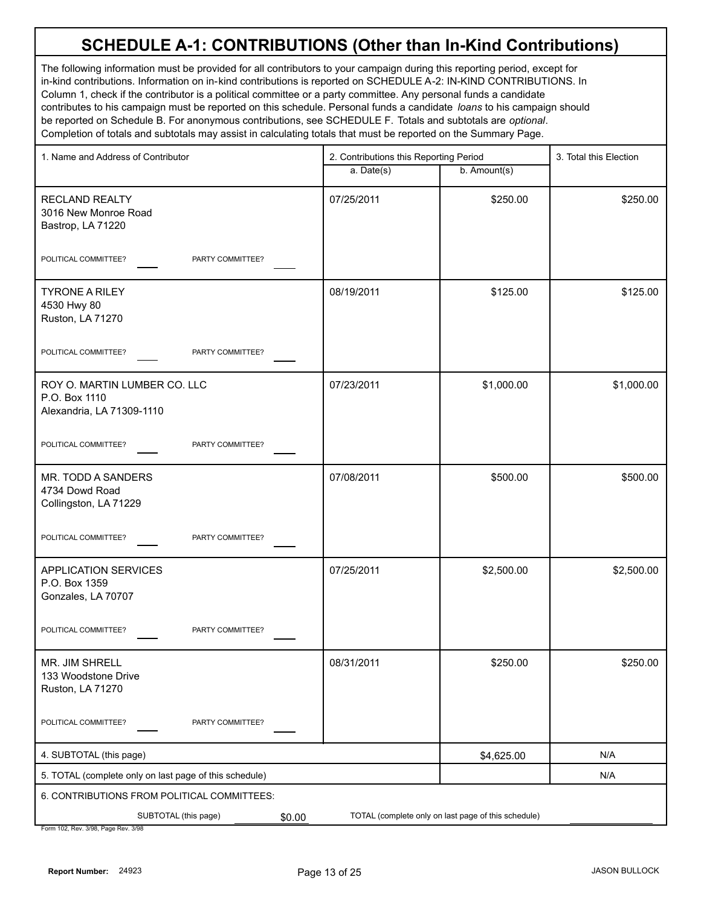The following information must be provided for all contributors to your campaign during this reporting period, except for in-kind contributions. Information on in-kind contributions is reported on SCHEDULE A-2: IN-KIND CONTRIBUTIONS. In Column 1, check if the contributor is a political committee or a party committee. Any personal funds a candidate contributes to his campaign must be reported on this schedule. Personal funds a candidate *loans* to his campaign should be reported on Schedule B. For anonymous contributions, see SCHEDULE F. Totals and subtotals are *optional*. Completion of totals and subtotals may assist in calculating totals that must be reported on the Summary Page.

| 1. Name and Address of Contributor                                         | 2. Contributions this Reporting Period |                                                     | 3. Total this Election |  |
|----------------------------------------------------------------------------|----------------------------------------|-----------------------------------------------------|------------------------|--|
|                                                                            | a. Date(s)                             | b. Amount(s)                                        |                        |  |
| <b>RECLAND REALTY</b><br>3016 New Monroe Road<br>Bastrop, LA 71220         | 07/25/2011                             | \$250.00                                            | \$250.00               |  |
| POLITICAL COMMITTEE?<br>PARTY COMMITTEE?                                   |                                        |                                                     |                        |  |
| <b>TYRONE A RILEY</b><br>4530 Hwy 80<br>Ruston, LA 71270                   | 08/19/2011                             | \$125.00                                            | \$125.00               |  |
| POLITICAL COMMITTEE?<br>PARTY COMMITTEE?                                   |                                        |                                                     |                        |  |
| ROY O. MARTIN LUMBER CO. LLC<br>P.O. Box 1110<br>Alexandria, LA 71309-1110 | 07/23/2011                             | \$1,000.00                                          | \$1,000.00             |  |
| POLITICAL COMMITTEE?<br>PARTY COMMITTEE?                                   |                                        |                                                     |                        |  |
| MR. TODD A SANDERS<br>4734 Dowd Road<br>Collingston, LA 71229              | 07/08/2011                             | \$500.00                                            | \$500.00               |  |
| POLITICAL COMMITTEE?<br>PARTY COMMITTEE?                                   |                                        |                                                     |                        |  |
| <b>APPLICATION SERVICES</b><br>P.O. Box 1359<br>Gonzales, LA 70707         | 07/25/2011                             | \$2,500.00                                          | \$2,500.00             |  |
| POLITICAL COMMITTEE?<br>PARTY COMMITTEE?                                   |                                        |                                                     |                        |  |
| MR. JIM SHRELL<br>133 Woodstone Drive<br>Ruston, LA 71270                  | 08/31/2011                             | \$250.00                                            | \$250.00               |  |
| POLITICAL COMMITTEE?<br>PARTY COMMITTEE?                                   |                                        |                                                     |                        |  |
| 4. SUBTOTAL (this page)                                                    |                                        | \$4,625.00                                          | N/A                    |  |
| 5. TOTAL (complete only on last page of this schedule)                     |                                        |                                                     | N/A                    |  |
| 6. CONTRIBUTIONS FROM POLITICAL COMMITTEES:                                |                                        |                                                     |                        |  |
| SUBTOTAL (this page)<br>\$0.00                                             |                                        | TOTAL (complete only on last page of this schedule) |                        |  |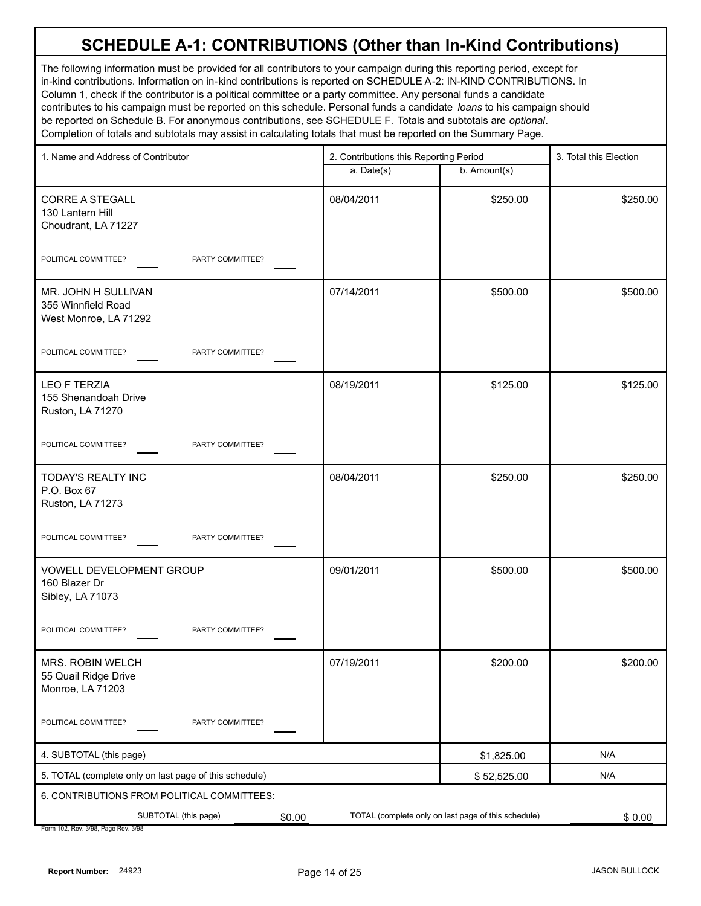The following information must be provided for all contributors to your campaign during this reporting period, except for in-kind contributions. Information on in-kind contributions is reported on SCHEDULE A-2: IN-KIND CONTRIBUTIONS. In Column 1, check if the contributor is a political committee or a party committee. Any personal funds a candidate contributes to his campaign must be reported on this schedule. Personal funds a candidate *loans* to his campaign should be reported on Schedule B. For anonymous contributions, see SCHEDULE F. Totals and subtotals are *optional*. Completion of totals and subtotals may assist in calculating totals that must be reported on the Summary Page.

| 1. Name and Address of Contributor                                   | 2. Contributions this Reporting Period |                                                     | 3. Total this Election |
|----------------------------------------------------------------------|----------------------------------------|-----------------------------------------------------|------------------------|
|                                                                      | a. Date(s)                             | b. Amount(s)                                        |                        |
| <b>CORRE A STEGALL</b><br>130 Lantern Hill<br>Choudrant, LA 71227    | 08/04/2011                             | \$250.00                                            | \$250.00               |
| POLITICAL COMMITTEE?<br>PARTY COMMITTEE?                             |                                        |                                                     |                        |
| MR. JOHN H SULLIVAN<br>355 Winnfield Road<br>West Monroe, LA 71292   | 07/14/2011                             | \$500.00                                            | \$500.00               |
| POLITICAL COMMITTEE?<br>PARTY COMMITTEE?                             |                                        |                                                     |                        |
| <b>LEO F TERZIA</b><br>155 Shenandoah Drive<br>Ruston, LA 71270      | 08/19/2011                             | \$125.00                                            | \$125.00               |
| POLITICAL COMMITTEE?<br>PARTY COMMITTEE?                             |                                        |                                                     |                        |
| TODAY'S REALTY INC<br>P.O. Box 67<br>Ruston, LA 71273                | 08/04/2011                             | \$250.00                                            | \$250.00               |
| POLITICAL COMMITTEE?<br>PARTY COMMITTEE?                             |                                        |                                                     |                        |
| <b>VOWELL DEVELOPMENT GROUP</b><br>160 Blazer Dr<br>Sibley, LA 71073 | 09/01/2011                             | \$500.00                                            | \$500.00               |
| POLITICAL COMMITTEE?<br>PARTY COMMITTEE?                             |                                        |                                                     |                        |
| MRS. ROBIN WELCH<br>55 Quail Ridge Drive<br>Monroe, LA 71203         | 07/19/2011                             | \$200.00                                            | \$200.00               |
| POLITICAL COMMITTEE?<br>PARTY COMMITTEE?                             |                                        |                                                     |                        |
| 4. SUBTOTAL (this page)                                              |                                        | \$1,825.00                                          | N/A                    |
| 5. TOTAL (complete only on last page of this schedule)               |                                        | \$52,525.00                                         | N/A                    |
| 6. CONTRIBUTIONS FROM POLITICAL COMMITTEES:                          |                                        |                                                     |                        |
| SUBTOTAL (this page)<br>\$0.00                                       |                                        | TOTAL (complete only on last page of this schedule) | \$0.00                 |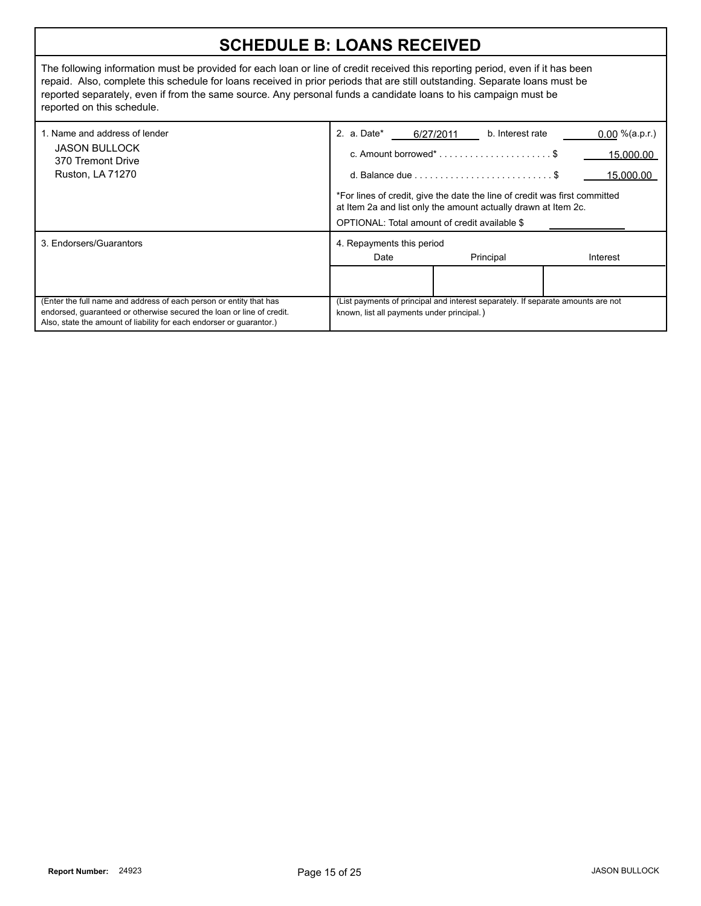#### **SCHEDULE B: LOANS RECEIVED**

The following information must be provided for each loan or line of credit received this reporting period, even if it has been repaid. Also, complete this schedule for loans received in prior periods that are still outstanding. Separate loans must be reported separately, even if from the same source. Any personal funds a candidate loans to his campaign must be reported on this schedule.

| 1. Name and address of lender<br><b>JASON BULLOCK</b><br>370 Tremont Drive<br><b>Ruston, LA 71270</b>                                                                                                               | 2. a. Date*                                                                                                                                                                                   | b. Interest rate<br>6/27/2011                                     | $0.00 \%$ (a.p.r.) |  |
|---------------------------------------------------------------------------------------------------------------------------------------------------------------------------------------------------------------------|-----------------------------------------------------------------------------------------------------------------------------------------------------------------------------------------------|-------------------------------------------------------------------|--------------------|--|
|                                                                                                                                                                                                                     |                                                                                                                                                                                               | c. Amount borrowed* $\dots\dots\dots\dots\dots\dots\dots\dots$ \$ | 15.000.00          |  |
|                                                                                                                                                                                                                     |                                                                                                                                                                                               |                                                                   | 15,000.00          |  |
|                                                                                                                                                                                                                     | *For lines of credit, give the date the line of credit was first committed<br>at Item 2a and list only the amount actually drawn at Item 2c.<br>OPTIONAL: Total amount of credit available \$ |                                                                   |                    |  |
| 3. Endorsers/Guarantors                                                                                                                                                                                             | 4. Repayments this period                                                                                                                                                                     |                                                                   |                    |  |
|                                                                                                                                                                                                                     | Date                                                                                                                                                                                          | Principal                                                         | Interest           |  |
|                                                                                                                                                                                                                     |                                                                                                                                                                                               |                                                                   |                    |  |
| (Enter the full name and address of each person or entity that has<br>endorsed, guaranteed or otherwise secured the loan or line of credit.<br>Also, state the amount of liability for each endorser or quarantor.) | (List payments of principal and interest separately. If separate amounts are not<br>known, list all payments under principal.)                                                                |                                                                   |                    |  |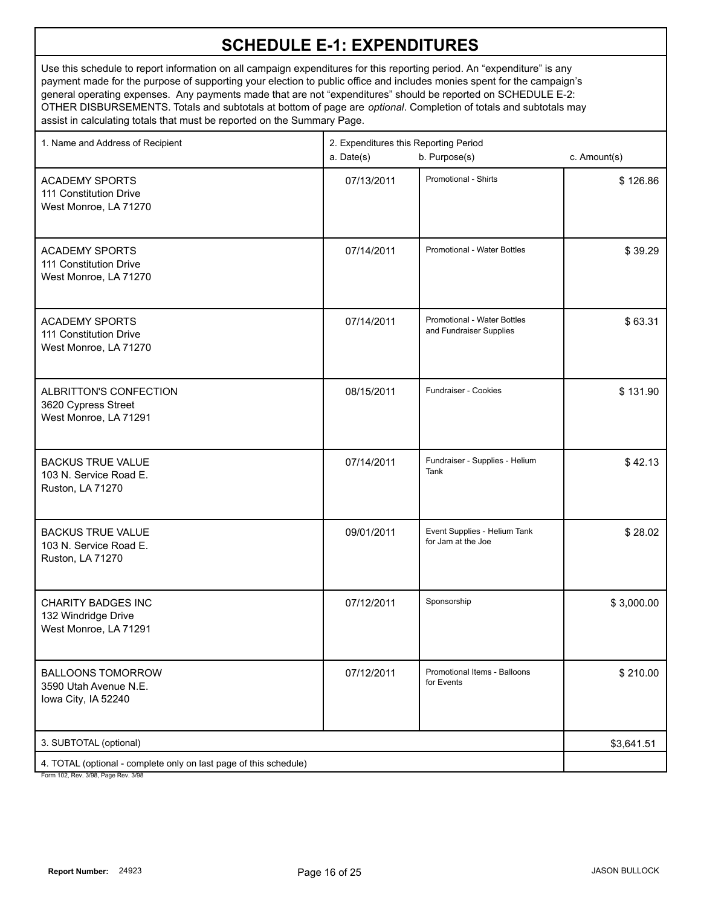| 1. Name and Address of Recipient                                                                         | 2. Expenditures this Reporting Period<br>a. Date(s)<br>b. Purpose(s) |                                                        | c. Amount(s) |
|----------------------------------------------------------------------------------------------------------|----------------------------------------------------------------------|--------------------------------------------------------|--------------|
| <b>ACADEMY SPORTS</b><br>111 Constitution Drive<br>West Monroe, LA 71270                                 | 07/13/2011                                                           | <b>Promotional - Shirts</b>                            | \$126.86     |
| <b>ACADEMY SPORTS</b><br>111 Constitution Drive<br>West Monroe, LA 71270                                 | 07/14/2011                                                           | <b>Promotional - Water Bottles</b>                     | \$39.29      |
| <b>ACADEMY SPORTS</b><br>111 Constitution Drive<br>West Monroe, LA 71270                                 | 07/14/2011                                                           | Promotional - Water Bottles<br>and Fundraiser Supplies | \$63.31      |
| ALBRITTON'S CONFECTION<br>3620 Cypress Street<br>West Monroe, LA 71291                                   | 08/15/2011                                                           | Fundraiser - Cookies                                   | \$131.90     |
| <b>BACKUS TRUE VALUE</b><br>103 N. Service Road E.<br>Ruston, LA 71270                                   | 07/14/2011                                                           | Fundraiser - Supplies - Helium<br>Tank                 | \$42.13      |
| <b>BACKUS TRUE VALUE</b><br>103 N. Service Road E.<br>Ruston, LA 71270                                   | 09/01/2011                                                           | Event Supplies - Helium Tank<br>for Jam at the Joe     | \$28.02      |
| <b>CHARITY BADGES INC</b><br>132 Windridge Drive<br>West Monroe, LA 71291                                | 07/12/2011                                                           | Sponsorship                                            | \$3,000.00   |
| <b>BALLOONS TOMORROW</b><br>3590 Utah Avenue N.E.<br>lowa City, IA 52240                                 | 07/12/2011                                                           | Promotional Items - Balloons<br>for Events             | \$210.00     |
| 3. SUBTOTAL (optional)                                                                                   |                                                                      |                                                        | \$3,641.51   |
| 4. TOTAL (optional - complete only on last page of this schedule)<br>Form 102, Rev. 3/98, Page Rev. 3/98 |                                                                      |                                                        |              |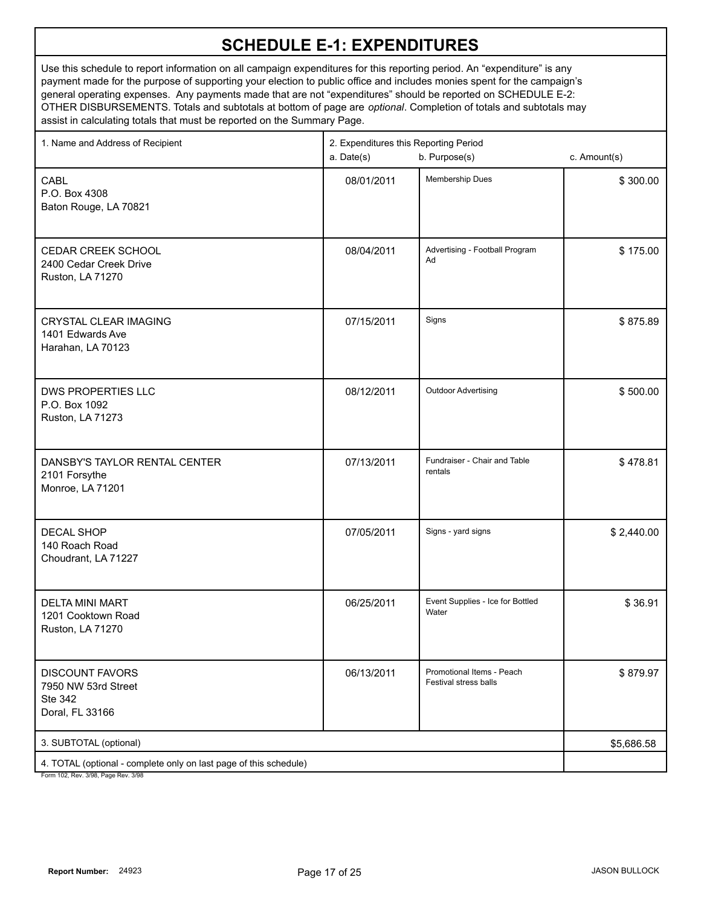| 1. Name and Address of Recipient                                                                         | 2. Expenditures this Reporting Period<br>b. Purpose(s)<br>a. Date(s) |                                                    | c. Amount(s) |
|----------------------------------------------------------------------------------------------------------|----------------------------------------------------------------------|----------------------------------------------------|--------------|
| <b>CABL</b><br>P.O. Box 4308<br>Baton Rouge, LA 70821                                                    | 08/01/2011                                                           | Membership Dues                                    | \$300.00     |
| CEDAR CREEK SCHOOL<br>2400 Cedar Creek Drive<br>Ruston, LA 71270                                         | 08/04/2011                                                           | Advertising - Football Program<br>Ad               | \$175.00     |
| <b>CRYSTAL CLEAR IMAGING</b><br>1401 Edwards Ave<br>Harahan, LA 70123                                    | 07/15/2011                                                           | Signs                                              | \$875.89     |
| DWS PROPERTIES LLC<br>P.O. Box 1092<br>Ruston, LA 71273                                                  | 08/12/2011                                                           | <b>Outdoor Advertising</b>                         | \$500.00     |
| DANSBY'S TAYLOR RENTAL CENTER<br>2101 Forsythe<br>Monroe, LA 71201                                       | 07/13/2011                                                           | Fundraiser - Chair and Table<br>rentals            | \$478.81     |
| <b>DECAL SHOP</b><br>140 Roach Road<br>Choudrant, LA 71227                                               | 07/05/2011                                                           | Signs - yard signs                                 | \$2,440.00   |
| <b>DELTA MINI MART</b><br>1201 Cooktown Road<br>Ruston, LA 71270                                         | 06/25/2011                                                           | Event Supplies - Ice for Bottled<br>Water          | \$36.91      |
| <b>DISCOUNT FAVORS</b><br>7950 NW 53rd Street<br>Ste 342<br>Doral, FL 33166                              | 06/13/2011                                                           | Promotional Items - Peach<br>Festival stress balls | \$879.97     |
| 3. SUBTOTAL (optional)                                                                                   |                                                                      |                                                    | \$5,686.58   |
| 4. TOTAL (optional - complete only on last page of this schedule)<br>Form 102, Rev. 3/98, Page Rev. 3/98 |                                                                      |                                                    |              |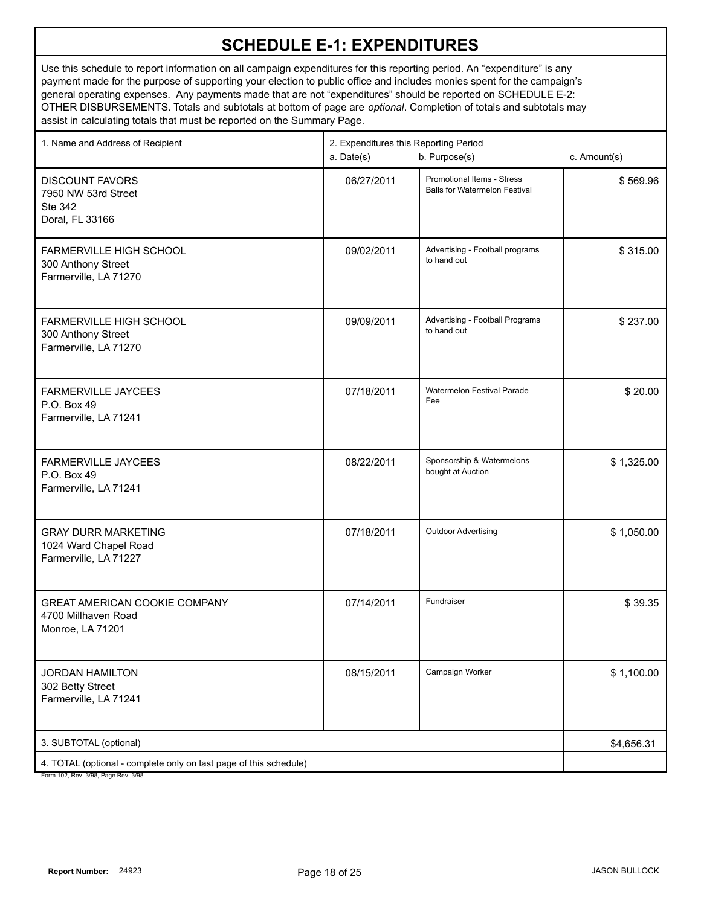| 1. Name and Address of Recipient                                                                         | a. Date(s) | 2. Expenditures this Reporting Period<br>b. Purpose(s)             |            |
|----------------------------------------------------------------------------------------------------------|------------|--------------------------------------------------------------------|------------|
| <b>DISCOUNT FAVORS</b><br>7950 NW 53rd Street<br>Ste 342<br>Doral, FL 33166                              | 06/27/2011 | Promotional Items - Stress<br><b>Balls for Watermelon Festival</b> | \$569.96   |
| FARMERVILLE HIGH SCHOOL<br>300 Anthony Street<br>Farmerville, LA 71270                                   | 09/02/2011 | Advertising - Football programs<br>to hand out                     | \$315.00   |
| FARMERVILLE HIGH SCHOOL<br>300 Anthony Street<br>Farmerville, LA 71270                                   | 09/09/2011 | Advertising - Football Programs<br>to hand out                     | \$237.00   |
| <b>FARMERVILLE JAYCEES</b><br>P.O. Box 49<br>Farmerville, LA 71241                                       | 07/18/2011 | Watermelon Festival Parade<br>Fee                                  | \$20.00    |
| <b>FARMERVILLE JAYCEES</b><br>P.O. Box 49<br>Farmerville, LA 71241                                       | 08/22/2011 | Sponsorship & Watermelons<br>bought at Auction                     | \$1,325.00 |
| <b>GRAY DURR MARKETING</b><br>1024 Ward Chapel Road<br>Farmerville, LA 71227                             | 07/18/2011 | <b>Outdoor Advertising</b>                                         | \$1,050.00 |
| <b>GREAT AMERICAN COOKIE COMPANY</b><br>4700 Millhaven Road<br>Monroe, LA 71201                          | 07/14/2011 | Fundraiser                                                         | \$39.35    |
| <b>JORDAN HAMILTON</b><br>302 Betty Street<br>Farmerville, LA 71241                                      | 08/15/2011 | Campaign Worker                                                    | \$1,100.00 |
| 3. SUBTOTAL (optional)                                                                                   | \$4,656.31 |                                                                    |            |
| 4. TOTAL (optional - complete only on last page of this schedule)<br>Form 102, Rev. 3/98, Page Rev. 3/98 |            |                                                                    |            |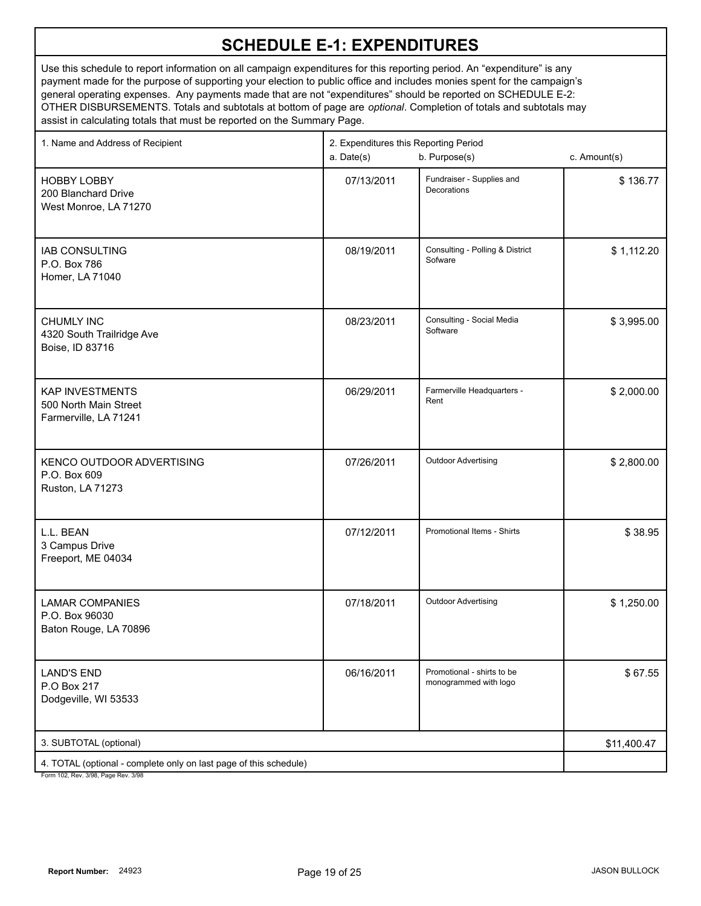| 1. Name and Address of Recipient                                                                         | a. Date(s) | 2. Expenditures this Reporting Period<br>b. Purpose(s)<br>c. Amount(s) |             |
|----------------------------------------------------------------------------------------------------------|------------|------------------------------------------------------------------------|-------------|
| <b>HOBBY LOBBY</b><br>200 Blanchard Drive<br>West Monroe, LA 71270                                       | 07/13/2011 | Fundraiser - Supplies and<br>Decorations                               | \$136.77    |
| <b>IAB CONSULTING</b><br>P.O. Box 786<br>Homer, LA 71040                                                 | 08/19/2011 | Consulting - Polling & District<br>Sofware                             | \$1,112.20  |
| <b>CHUMLY INC</b><br>4320 South Trailridge Ave<br>Boise, ID 83716                                        | 08/23/2011 | Consulting - Social Media<br>Software                                  | \$3,995.00  |
| <b>KAP INVESTMENTS</b><br>500 North Main Street<br>Farmerville, LA 71241                                 | 06/29/2011 | Farmerville Headquarters -<br>Rent                                     | \$2,000.00  |
| KENCO OUTDOOR ADVERTISING<br>P.O. Box 609<br>Ruston, LA 71273                                            | 07/26/2011 | <b>Outdoor Advertising</b>                                             | \$2,800.00  |
| L.L. BEAN<br>3 Campus Drive<br>Freeport, ME 04034                                                        | 07/12/2011 | Promotional Items - Shirts                                             | \$38.95     |
| <b>LAMAR COMPANIES</b><br>P.O. Box 96030<br>Baton Rouge, LA 70896                                        | 07/18/2011 | Outdoor Advertising                                                    | \$1,250.00  |
| <b>LAND'S END</b><br>P.O Box 217<br>Dodgeville, WI 53533                                                 | 06/16/2011 | Promotional - shirts to be<br>monogrammed with logo                    | \$67.55     |
| 3. SUBTOTAL (optional)                                                                                   |            |                                                                        | \$11,400.47 |
| 4. TOTAL (optional - complete only on last page of this schedule)<br>Form 102, Rev. 3/98, Page Rev. 3/98 |            |                                                                        |             |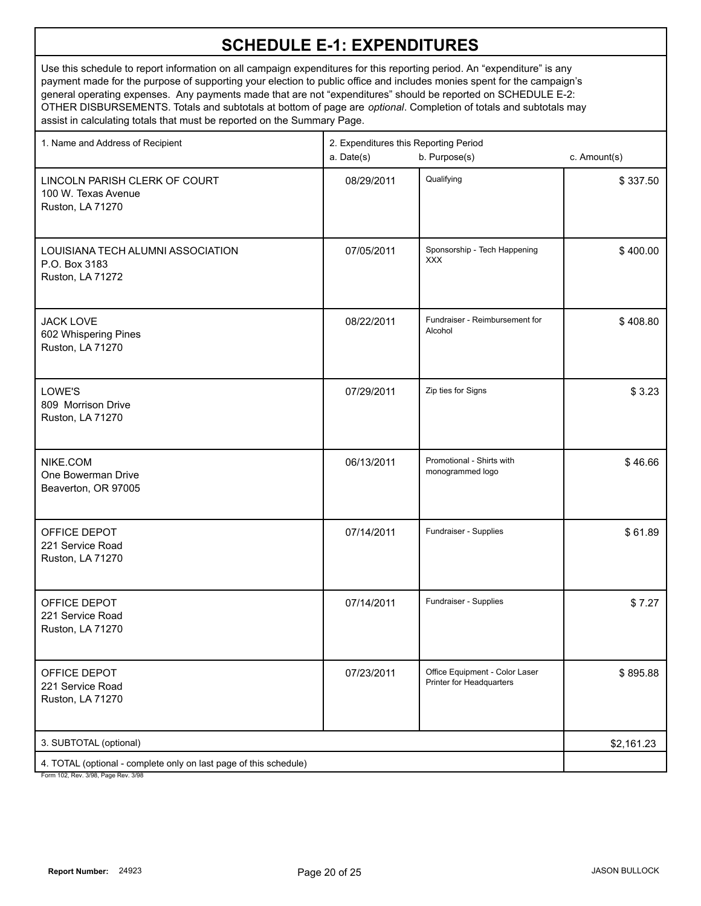Use this schedule to report information on all campaign expenditures for this reporting period. An "expenditure" is any payment made for the purpose of supporting your election to public office and includes monies spent for the campaign's general operating expenses. Any payments made that are not "expenditures" should be reported on SCHEDULE E-2: OTHER DISBURSEMENTS. Totals and subtotals at bottom of page are *optional*. Completion of totals and subtotals may assist in calculating totals that must be reported on the Summary Page.

| 1. Name and Address of Recipient                                                                     | 2. Expenditures this Reporting Period<br>b. Purpose(s)<br>c. Amount(s)<br>a. Date(s) |                                                            |            |
|------------------------------------------------------------------------------------------------------|--------------------------------------------------------------------------------------|------------------------------------------------------------|------------|
| LINCOLN PARISH CLERK OF COURT<br>100 W. Texas Avenue<br>Ruston, LA 71270                             | 08/29/2011                                                                           | Qualifying                                                 | \$337.50   |
| LOUISIANA TECH ALUMNI ASSOCIATION<br>P.O. Box 3183<br>Ruston, LA 71272                               | 07/05/2011                                                                           | Sponsorship - Tech Happening<br><b>XXX</b>                 | \$400.00   |
| <b>JACK LOVE</b><br>602 Whispering Pines<br>Ruston, LA 71270                                         | 08/22/2011                                                                           | Fundraiser - Reimbursement for<br>Alcohol                  | \$408.80   |
| LOWE'S<br>809 Morrison Drive<br>Ruston, LA 71270                                                     | 07/29/2011                                                                           | Zip ties for Signs                                         | \$3.23     |
| NIKE.COM<br>One Bowerman Drive<br>Beaverton, OR 97005                                                | 06/13/2011                                                                           | Promotional - Shirts with<br>monogrammed logo              | \$46.66    |
| OFFICE DEPOT<br>221 Service Road<br>Ruston, LA 71270                                                 | 07/14/2011                                                                           | Fundraiser - Supplies                                      | \$61.89    |
| OFFICE DEPOT<br>221 Service Road<br>Ruston, LA 71270                                                 | 07/14/2011                                                                           | Fundraiser - Supplies                                      | \$7.27     |
| OFFICE DEPOT<br>221 Service Road<br>Ruston, LA 71270                                                 | 07/23/2011                                                                           | Office Equipment - Color Laser<br>Printer for Headquarters | \$895.88   |
| 3. SUBTOTAL (optional)                                                                               |                                                                                      |                                                            | \$2,161.23 |
| 4. TOTAL (optional - complete only on last page of this schedule)<br>Form 102 Rev 3/08 Rage Rev 3/08 |                                                                                      |                                                            |            |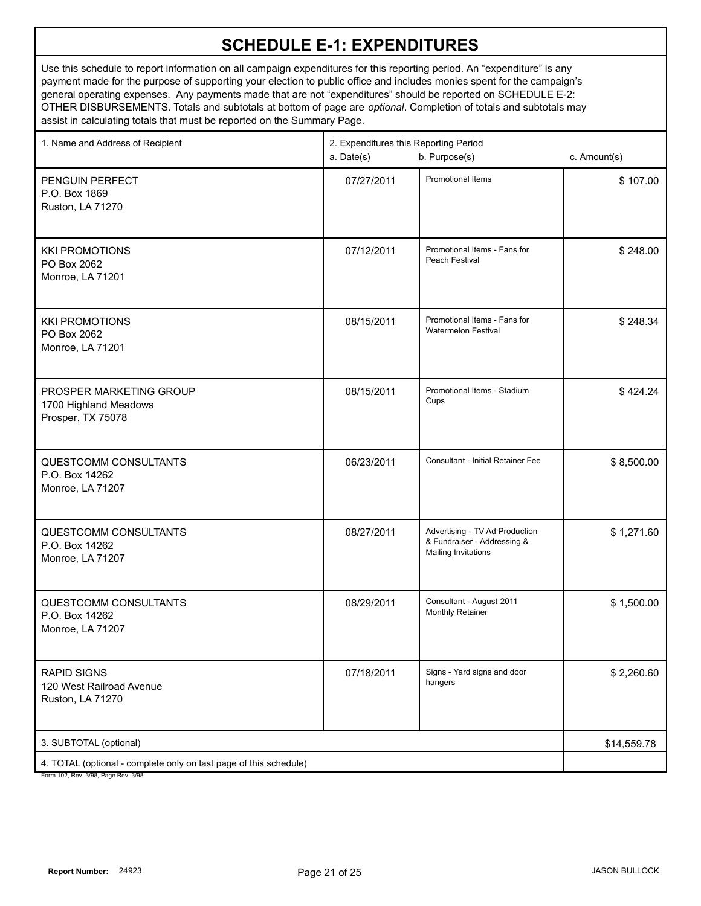| 1. Name and Address of Recipient                                                                         | 2. Expenditures this Reporting Period<br>a. Date(s)<br>b. Purpose(s) |                                                                                             | c. Amount(s) |
|----------------------------------------------------------------------------------------------------------|----------------------------------------------------------------------|---------------------------------------------------------------------------------------------|--------------|
| PENGUIN PERFECT<br>P.O. Box 1869<br>Ruston, LA 71270                                                     | 07/27/2011                                                           | <b>Promotional Items</b>                                                                    | \$107.00     |
| <b>KKI PROMOTIONS</b><br>PO Box 2062<br>Monroe, LA 71201                                                 | 07/12/2011                                                           | Promotional Items - Fans for<br>Peach Festival                                              | \$248.00     |
| <b>KKI PROMOTIONS</b><br>PO Box 2062<br>Monroe, LA 71201                                                 | 08/15/2011                                                           | Promotional Items - Fans for<br><b>Watermelon Festival</b>                                  | \$248.34     |
| PROSPER MARKETING GROUP<br>1700 Highland Meadows<br>Prosper, TX 75078                                    | 08/15/2011                                                           | Promotional Items - Stadium<br>Cups                                                         | \$424.24     |
| QUESTCOMM CONSULTANTS<br>P.O. Box 14262<br>Monroe, LA 71207                                              | 06/23/2011                                                           | <b>Consultant - Initial Retainer Fee</b>                                                    | \$8,500.00   |
| QUESTCOMM CONSULTANTS<br>P.O. Box 14262<br>Monroe, LA 71207                                              | 08/27/2011                                                           | Advertising - TV Ad Production<br>& Fundraiser - Addressing &<br><b>Mailing Invitations</b> | \$1,271.60   |
| QUESTCOMM CONSULTANTS<br>P.O. Box 14262<br>Monroe, LA 71207                                              | 08/29/2011                                                           | Consultant - August 2011<br>Monthly Retainer                                                | \$1,500.00   |
| <b>RAPID SIGNS</b><br>120 West Railroad Avenue<br>Ruston, LA 71270                                       | 07/18/2011                                                           | Signs - Yard signs and door<br>hangers                                                      | \$2,260.60   |
| 3. SUBTOTAL (optional)                                                                                   | \$14,559.78                                                          |                                                                                             |              |
| 4. TOTAL (optional - complete only on last page of this schedule)<br>Form 102, Rev. 3/98, Page Rev. 3/98 |                                                                      |                                                                                             |              |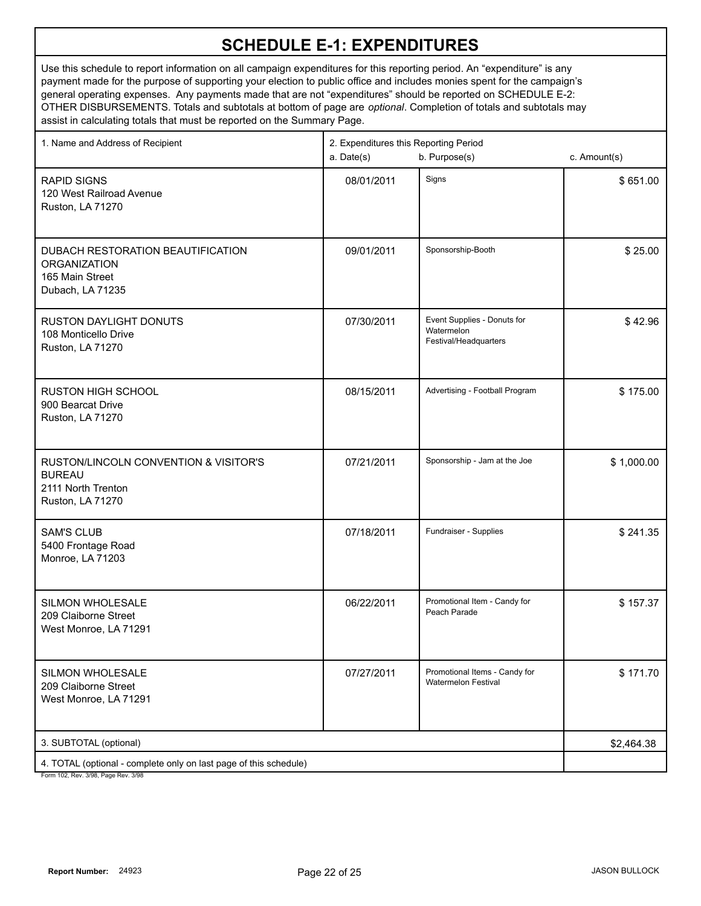| 1. Name and Address of Recipient                                                                         | 2. Expenditures this Reporting Period<br>b. Purpose(s)<br>a. Date(s) |                                                                    | c. Amount(s) |
|----------------------------------------------------------------------------------------------------------|----------------------------------------------------------------------|--------------------------------------------------------------------|--------------|
| <b>RAPID SIGNS</b><br>120 West Railroad Avenue<br>Ruston, LA 71270                                       | 08/01/2011                                                           | Signs                                                              | \$651.00     |
| DUBACH RESTORATION BEAUTIFICATION<br><b>ORGANIZATION</b><br>165 Main Street<br>Dubach, LA 71235          | 09/01/2011                                                           | Sponsorship-Booth                                                  | \$25.00      |
| <b>RUSTON DAYLIGHT DONUTS</b><br>108 Monticello Drive<br>Ruston, LA 71270                                | 07/30/2011                                                           | Event Supplies - Donuts for<br>Watermelon<br>Festival/Headquarters | \$42.96      |
| <b>RUSTON HIGH SCHOOL</b><br>900 Bearcat Drive<br>Ruston, LA 71270                                       | 08/15/2011                                                           | Advertising - Football Program                                     | \$175.00     |
| RUSTON/LINCOLN CONVENTION & VISITOR'S<br><b>BUREAU</b><br>2111 North Trenton<br>Ruston, LA 71270         | 07/21/2011                                                           | Sponsorship - Jam at the Joe                                       | \$1,000.00   |
| <b>SAM'S CLUB</b><br>5400 Frontage Road<br>Monroe, LA 71203                                              | 07/18/2011                                                           | Fundraiser - Supplies                                              | \$241.35     |
| <b>SILMON WHOLESALE</b><br>209 Claiborne Street<br>West Monroe, LA 71291                                 | 06/22/2011                                                           | Promotional Item - Candy for<br>Peach Parade                       | \$157.37     |
| SILMON WHOLESALE<br>209 Claiborne Street<br>West Monroe, LA 71291                                        | 07/27/2011                                                           | Promotional Items - Candy for<br><b>Watermelon Festival</b>        | \$171.70     |
| 3. SUBTOTAL (optional)                                                                                   | \$2,464.38                                                           |                                                                    |              |
| 4. TOTAL (optional - complete only on last page of this schedule)<br>Form 102, Rev. 3/98, Page Rev. 3/98 |                                                                      |                                                                    |              |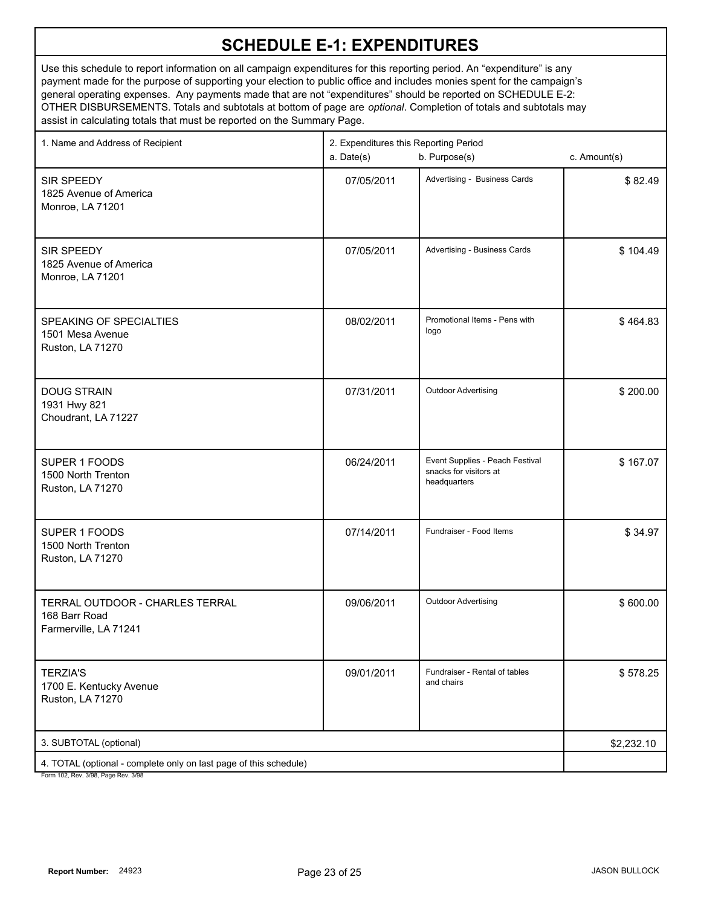Use this schedule to report information on all campaign expenditures for this reporting period. An "expenditure" is any payment made for the purpose of supporting your election to public office and includes monies spent for the campaign's general operating expenses. Any payments made that are not "expenditures" should be reported on SCHEDULE E-2: OTHER DISBURSEMENTS. Totals and subtotals at bottom of page are *optional*. Completion of totals and subtotals may assist in calculating totals that must be reported on the Summary Page.

| 1. Name and Address of Recipient                                                                     | 2. Expenditures this Reporting Period<br>a. Date(s)<br>b. Purpose(s) |                                                                           | c. Amount(s) |
|------------------------------------------------------------------------------------------------------|----------------------------------------------------------------------|---------------------------------------------------------------------------|--------------|
| SIR SPEEDY<br>1825 Avenue of America<br>Monroe, LA 71201                                             | 07/05/2011                                                           | Advertising - Business Cards                                              | \$82.49      |
| SIR SPEEDY<br>1825 Avenue of America<br>Monroe, LA 71201                                             | 07/05/2011                                                           | Advertising - Business Cards                                              | \$104.49     |
| SPEAKING OF SPECIALTIES<br>1501 Mesa Avenue<br>Ruston, LA 71270                                      | 08/02/2011                                                           | Promotional Items - Pens with<br>logo                                     | \$464.83     |
| <b>DOUG STRAIN</b><br>1931 Hwy 821<br>Choudrant, LA 71227                                            | 07/31/2011                                                           | <b>Outdoor Advertising</b>                                                | \$200.00     |
| SUPER 1 FOODS<br>1500 North Trenton<br>Ruston, LA 71270                                              | 06/24/2011                                                           | Event Supplies - Peach Festival<br>snacks for visitors at<br>headquarters | \$167.07     |
| SUPER 1 FOODS<br>1500 North Trenton<br>Ruston, LA 71270                                              | 07/14/2011                                                           | Fundraiser - Food Items                                                   | \$34.97      |
| TERRAL OUTDOOR - CHARLES TERRAL<br>168 Barr Road<br>Farmerville, LA 71241                            | 09/06/2011                                                           | <b>Outdoor Advertising</b>                                                | \$600.00     |
| <b>TERZIA'S</b><br>1700 E. Kentucky Avenue<br>Ruston, LA 71270                                       | 09/01/2011                                                           | Fundraiser - Rental of tables<br>and chairs                               | \$578.25     |
| 3. SUBTOTAL (optional)                                                                               | \$2,232.10                                                           |                                                                           |              |
| 4. TOTAL (optional - complete only on last page of this schedule)<br>Form 102 Rev 3/08 Rage Rev 3/08 |                                                                      |                                                                           |              |

3/98, Page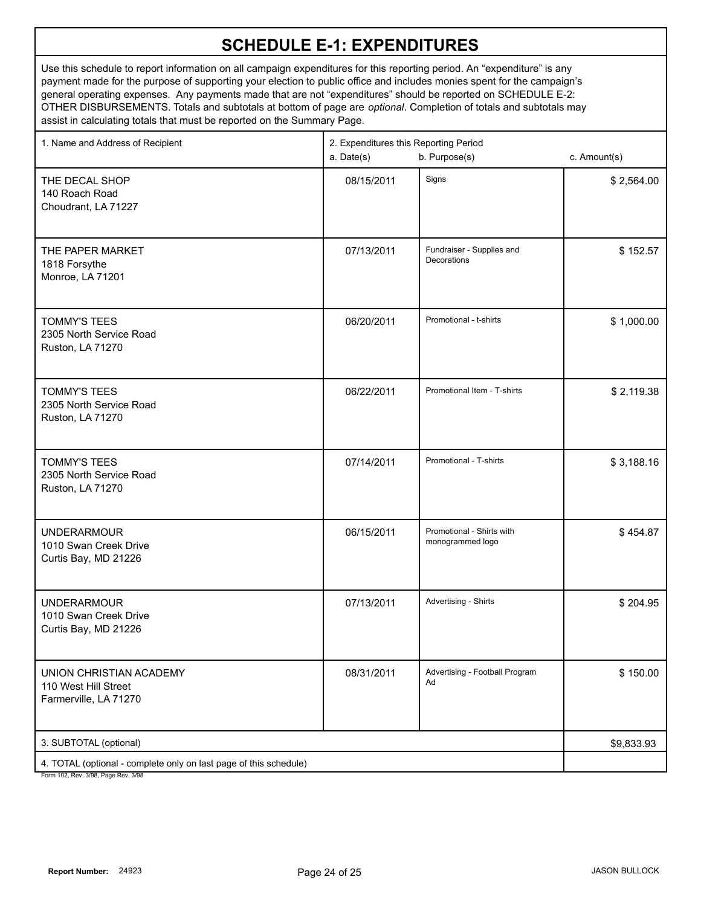| 1. Name and Address of Recipient                                                                     | 2. Expenditures this Reporting Period<br>b. Purpose(s)<br>a. Date(s)<br>c. Amount(s) |                                               |            |
|------------------------------------------------------------------------------------------------------|--------------------------------------------------------------------------------------|-----------------------------------------------|------------|
| THE DECAL SHOP<br>140 Roach Road<br>Choudrant, LA 71227                                              | 08/15/2011                                                                           | Signs                                         | \$2,564.00 |
| THE PAPER MARKET<br>1818 Forsythe<br>Monroe, LA 71201                                                | 07/13/2011                                                                           | Fundraiser - Supplies and<br>Decorations      | \$152.57   |
| <b>TOMMY'S TEES</b><br>2305 North Service Road<br>Ruston, LA 71270                                   | 06/20/2011                                                                           | Promotional - t-shirts                        | \$1,000.00 |
| <b>TOMMY'S TEES</b><br>2305 North Service Road<br>Ruston, LA 71270                                   | 06/22/2011                                                                           | Promotional Item - T-shirts                   | \$2,119.38 |
| <b>TOMMY'S TEES</b><br>2305 North Service Road<br>Ruston, LA 71270                                   | 07/14/2011                                                                           | Promotional - T-shirts                        | \$3,188.16 |
| <b>UNDERARMOUR</b><br>1010 Swan Creek Drive<br>Curtis Bay, MD 21226                                  | 06/15/2011                                                                           | Promotional - Shirts with<br>monogrammed logo | \$454.87   |
| <b>UNDERARMOUR</b><br>1010 Swan Creek Drive<br>Curtis Bay, MD 21226                                  | 07/13/2011                                                                           | Advertising - Shirts                          | \$204.95   |
| UNION CHRISTIAN ACADEMY<br>110 West Hill Street<br>Farmerville, LA 71270                             | 08/31/2011                                                                           | Advertising - Football Program<br>Ad          | \$150.00   |
| 3. SUBTOTAL (optional)                                                                               | \$9,833.93                                                                           |                                               |            |
| 4. TOTAL (optional - complete only on last page of this schedule)<br>Form 102 Rev 3/98 Page Rev 3/98 |                                                                                      |                                               |            |